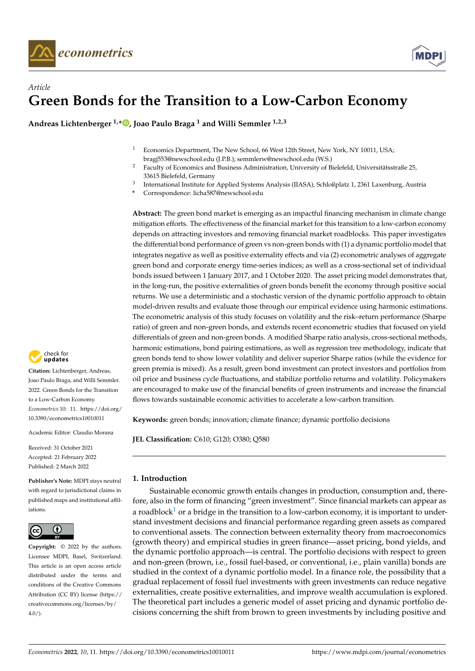

# *Article* **Green Bonds for the Transition to a Low-Carbon Economy**

**Andreas Lichtenberger 1,[\\*](https://orcid.org/0000-0001-7681-4914) , Joao Paulo Braga <sup>1</sup> and Willi Semmler 1,2,3**

- <sup>1</sup> Economics Department, The New School, 66 West 12th Street, New York, NY 10011, USA; bragj553@newschool.edu (J.P.B.); semmlerw@newschool.edu (W.S.)
- <sup>2</sup> Faculty of Economics and Business Administration, University of Bielefeld, Universitätsstraße 25, 33615 Bielefeld, Germany
- 3 International Institute for Applied Systems Analysis (IIASA), Schloßplatz 1, 2361 Laxenburg, Austria

**\*** Correspondence: licha587@newschool.edu

**Abstract:** The green bond market is emerging as an impactful financing mechanism in climate change mitigation efforts. The effectiveness of the financial market for this transition to a low-carbon economy depends on attracting investors and removing financial market roadblocks. This paper investigates the differential bond performance of green vs non-green bonds with (1) a dynamic portfolio model that integrates negative as well as positive externality effects and via (2) econometric analyses of aggregate green bond and corporate energy time-series indices; as well as a cross-sectional set of individual bonds issued between 1 January 2017, and 1 October 2020. The asset pricing model demonstrates that, in the long-run, the positive externalities of green bonds benefit the economy through positive social returns. We use a deterministic and a stochastic version of the dynamic portfolio approach to obtain model-driven results and evaluate those through our empirical evidence using harmonic estimations. The econometric analysis of this study focuses on volatility and the risk–return performance (Sharpe ratio) of green and non-green bonds, and extends recent econometric studies that focused on yield differentials of green and non-green bonds. A modified Sharpe ratio analysis, cross-sectional methods, harmonic estimations, bond pairing estimations, as well as regression tree methodology, indicate that green bonds tend to show lower volatility and deliver superior Sharpe ratios (while the evidence for green premia is mixed). As a result, green bond investment can protect investors and portfolios from oil price and business cycle fluctuations, and stabilize portfolio returns and volatility. Policymakers are encouraged to make use of the financial benefits of green instruments and increase the financial flows towards sustainable economic activities to accelerate a low-carbon transition.

**Keywords:** green bonds; innovation; climate finance; dynamic portfolio decisions

**JEL Classification:** C610; G120; O380; Q580

# **1. Introduction**

<span id="page-0-0"></span>Sustainable economic growth entails changes in production, consumption and, therefore, also in the form of financing "green investment". Since financial markets can appear as a roadblock<sup>[1](#page-27-0)</sup> or a bridge in the transition to a low-carbon economy, it is important to understand investment decisions and financial performance regarding green assets as compared to conventional assets. The connection between externality theory from macroeconomics (growth theory) and empirical studies in green finance—asset pricing, bond yields, and the dynamic portfolio approach—is central. The portfolio decisions with respect to green and non-green (brown, i.e., fossil fuel-based, or conventional, i.e., plain vanilla) bonds are studied in the context of a dynamic portfolio model. In a finance role, the possibility that a gradual replacement of fossil fuel investments with green investments can reduce negative externalities, create positive externalities, and improve wealth accumulation is explored. The theoretical part includes a generic model of asset pricing and dynamic portfolio decisions concerning the shift from brown to green investments by including positive and



**Citation:** Lichtenberger, Andreas, Joao Paulo Braga, and Willi Semmler. 2022. Green Bonds for the Transition to a Low-Carbon Economy. *Econometrics* 10: 11. [https://doi.org/](https://doi.org/10.3390/econometrics10010011) [10.3390/econometrics10010011](https://doi.org/10.3390/econometrics10010011)

Academic Editor: Claudio Morana

Received: 31 October 2021 Accepted: 21 February 2022 Published: 2 March 2022

**Publisher's Note:** MDPI stays neutral with regard to jurisdictional claims in published maps and institutional affiliations.



**Copyright:** © 2022 by the authors. Licensee MDPI, Basel, Switzerland. This article is an open access article distributed under the terms and conditions of the Creative Commons Attribution (CC BY) license [\(https://](https://creativecommons.org/licenses/by/4.0/) [creativecommons.org/licenses/by/](https://creativecommons.org/licenses/by/4.0/)  $4.0/$ ).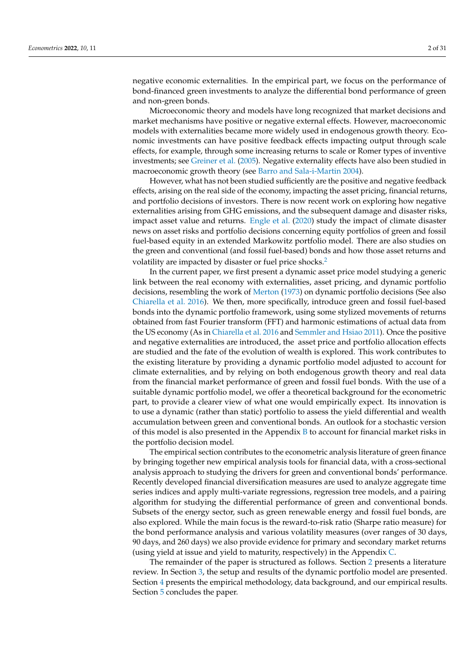negative economic externalities. In the empirical part, we focus on the performance of bond-financed green investments to analyze the differential bond performance of green and non-green bonds.

Microeconomic theory and models have long recognized that market decisions and market mechanisms have positive or negative external effects. However, macroeconomic models with externalities became more widely used in endogenous growth theory. Economic investments can have positive feedback effects impacting output through scale effects, for example, through some increasing returns to scale or Romer types of inventive investments; see [Greiner et al.](#page-29-0) [\(2005\)](#page-29-0). Negative externality effects have also been studied in macroeconomic growth theory (see [Barro and Sala-i-Martin](#page-28-0) [2004\)](#page-28-0).

However, what has not been studied sufficiently are the positive and negative feedback effects, arising on the real side of the economy, impacting the asset pricing, financial returns, and portfolio decisions of investors. There is now recent work on exploring how negative externalities arising from GHG emissions, and the subsequent damage and disaster risks, impact asset value and returns. [Engle et al.](#page-29-1) [\(2020\)](#page-29-1) study the impact of climate disaster news on asset risks and portfolio decisions concerning equity portfolios of green and fossil fuel-based equity in an extended Markowitz portfolio model. There are also studies on the green and conventional (and fossil fuel-based) bonds and how those asset returns and volatility are impacted by disaster or fuel price shocks.<sup>[2](#page-27-1)</sup>

<span id="page-1-0"></span>In the current paper, we first present a dynamic asset price model studying a generic link between the real economy with externalities, asset pricing, and dynamic portfolio decisions, resembling the work of [Merton](#page-29-2) [\(1973\)](#page-29-2) on dynamic portfolio decisions (See also [Chiarella et al.](#page-29-3) [2016\)](#page-29-3). We then, more specifically, introduce green and fossil fuel-based bonds into the dynamic portfolio framework, using some stylized movements of returns obtained from fast Fourier transform (FFT) and harmonic estimations of actual data from the US economy (As in [Chiarella et al.](#page-29-3) [2016](#page-29-3) and [Semmler and Hsiao](#page-30-0) [2011\)](#page-30-0). Once the positive and negative externalities are introduced, the asset price and portfolio allocation effects are studied and the fate of the evolution of wealth is explored. This work contributes to the existing literature by providing a dynamic portfolio model adjusted to account for climate externalities, and by relying on both endogenous growth theory and real data from the financial market performance of green and fossil fuel bonds. With the use of a suitable dynamic portfolio model, we offer a theoretical background for the econometric part, to provide a clearer view of what one would empirically expect. Its innovation is to use a dynamic (rather than static) portfolio to assess the yield differential and wealth accumulation between green and conventional bonds. An outlook for a stochastic version of this model is also presented in the Appendix  $B$  to account for financial market risks in the portfolio decision model.

The empirical section contributes to the econometric analysis literature of green finance by bringing together new empirical analysis tools for financial data, with a cross-sectional analysis approach to studying the drivers for green and conventional bonds' performance. Recently developed financial diversification measures are used to analyze aggregate time series indices and apply multi-variate regressions, regression tree models, and a pairing algorithm for studying the differential performance of green and conventional bonds. Subsets of the energy sector, such as green renewable energy and fossil fuel bonds, are also explored. While the main focus is the reward-to-risk ratio (Sharpe ratio measure) for the bond performance analysis and various volatility measures (over ranges of 30 days, 90 days, and 260 days) we also provide evidence for primary and secondary market returns (using yield at issue and yield to maturity, respectively) in the Appendix [C.](#page-25-0)

The remainder of the paper is structured as follows. Section [2](#page-2-0) presents a literature review. In Section [3,](#page-7-0) the setup and results of the dynamic portfolio model are presented. Section [4](#page-12-0) presents the empirical methodology, data background, and our empirical results. Section [5](#page-22-0) concludes the paper.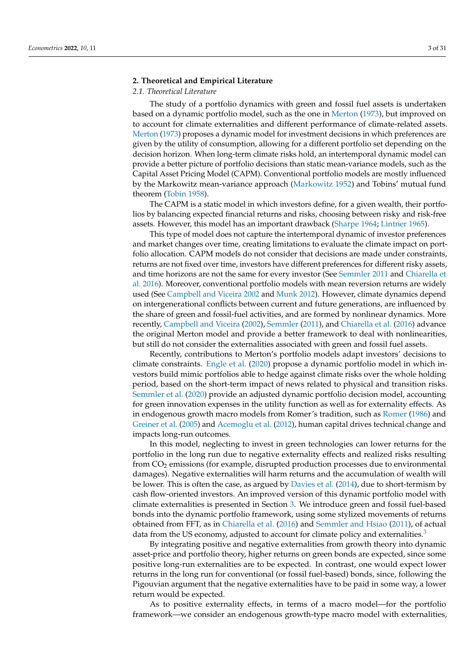## <span id="page-2-0"></span>**2. Theoretical and Empirical Literature**

# *2.1. Theoretical Literature*

The study of a portfolio dynamics with green and fossil fuel assets is undertaken based on a dynamic portfolio model, such as the one in [Merton](#page-29-2) [\(1973\)](#page-29-2), but improved on to account for climate externalities and different performance of climate-related assets. [Merton](#page-29-2) [\(1973\)](#page-29-2) proposes a dynamic model for investment decisions in which preferences are given by the utility of consumption, allowing for a different portfolio set depending on the decision horizon. When long-term climate risks hold, an intertemporal dynamic model can provide a better picture of portfolio decisions than static mean-variance models, such as the Capital Asset Pricing Model (CAPM). Conventional portfolio models are mostly influenced by the Markowitz mean-variance approach [\(Markowitz](#page-29-4) [1952\)](#page-29-4) and Tobins' mutual fund theorem [\(Tobin](#page-30-1) [1958\)](#page-30-1).

The CAPM is a static model in which investors define, for a given wealth, their portfolios by balancing expected financial returns and risks, choosing between risky and risk-free assets. However, this model has an important drawback [\(Sharpe](#page-30-2) [1964;](#page-30-2) [Lintner](#page-29-5) [1965\)](#page-29-5).

This type of model does not capture the intertemporal dynamic of investor preferences and market changes over time, creating limitations to evaluate the climate impact on portfolio allocation. CAPM models do not consider that decisions are made under constraints, returns are not fixed over time, investors have different preferences for different risky assets, and time horizons are not the same for every investor (See [Semmler](#page-30-3) [2011](#page-30-3) and [Chiarella et](#page-29-3) [al.](#page-29-3) [2016\)](#page-29-3). Moreover, conventional portfolio models with mean reversion returns are widely used (See [Campbell and Viceira](#page-29-6) [2002](#page-29-6) and [Munk](#page-29-7) [2012\)](#page-29-7). However, climate dynamics depend on intergenerational conflicts between current and future generations, are influenced by the share of green and fossil-fuel activities, and are formed by nonlinear dynamics. More recently, [Campbell and Viceira](#page-29-6) [\(2002\)](#page-29-6), [Semmler](#page-30-3) [\(2011\)](#page-30-3), and [Chiarella et al.](#page-29-3) [\(2016\)](#page-29-3) advance the original Merton model and provide a better framework to deal with nonlinearities, but still do not consider the externalities associated with green and fossil fuel assets.

Recently, contributions to Merton's portfolio models adapt investors' decisions to climate constraints. [Engle et al.](#page-29-1) [\(2020\)](#page-29-1) propose a dynamic portfolio model in which investors build mimic portfolios able to hedge against climate risks over the whole holding period, based on the short-term impact of news related to physical and transition risks. [Semmler et al.](#page-30-4) [\(2020\)](#page-30-4) provide an adjusted dynamic portfolio decision model, accounting for green innovation expenses in the utility function as well as for externality effects. As in endogenous growth macro models from Romer's tradition, such as [Romer](#page-30-5) [\(1986\)](#page-30-5) and [Greiner et al.](#page-29-0) [\(2005\)](#page-29-0) and [Acemoglu et al.](#page-28-1) [\(2012\)](#page-28-1), human capital drives technical change and impacts long-run outcomes.

In this model, neglecting to invest in green technologies can lower returns for the portfolio in the long run due to negative externality effects and realized risks resulting from CO<sup>2</sup> emissions (for example, disrupted production processes due to environmental damages). Negative externalities will harm returns and the accumulation of wealth will be lower. This is often the case, as argued by [Davies et al.](#page-29-8) [\(2014\)](#page-29-8), due to short-termism by cash flow-oriented investors. An improved version of this dynamic portfolio model with climate externalities is presented in Section [3.](#page-7-0) We introduce green and fossil fuel-based bonds into the dynamic portfolio framework, using some stylized movements of returns obtained from FFT, as in [Chiarella et al.](#page-29-3) [\(2016\)](#page-29-3) and [Semmler and Hsiao](#page-30-0) [\(2011\)](#page-30-0), of actual data from the US economy, adjusted to account for climate policy and externalities.<sup>[3](#page-27-2)</sup>

<span id="page-2-1"></span>By integrating positive and negative externalities from growth theory into dynamic asset-price and portfolio theory, higher returns on green bonds are expected, since some positive long-run externalities are to be expected. In contrast, one would expect lower returns in the long run for conventional (or fossil fuel-based) bonds, since, following the Pigouvian argument that the negative externalities have to be paid in some way, a lower return would be expected.

As to positive externality effects, in terms of a macro model—for the portfolio framework—we consider an endogenous growth-type macro model with externalities,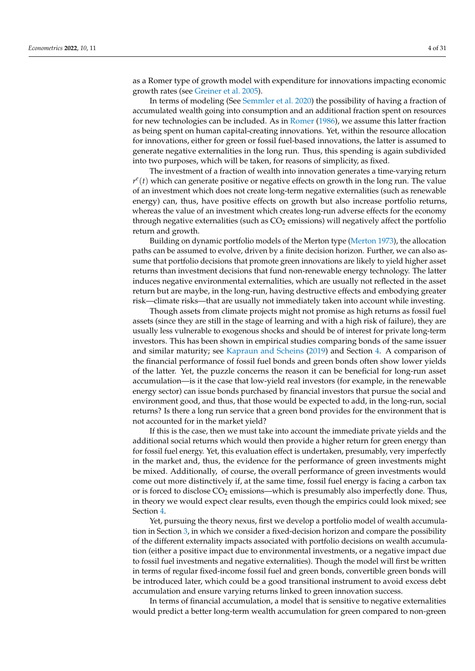as a Romer type of growth model with expenditure for innovations impacting economic growth rates (see [Greiner et al.](#page-29-0) [2005\)](#page-29-0).

In terms of modeling (See [Semmler et al.](#page-30-4) [2020\)](#page-30-4) the possibility of having a fraction of accumulated wealth going into consumption and an additional fraction spent on resources for new technologies can be included. As in [Romer](#page-30-5) [\(1986\)](#page-30-5), we assume this latter fraction as being spent on human capital-creating innovations. Yet, within the resource allocation for innovations, either for green or fossil fuel-based innovations, the latter is assumed to generate negative externalities in the long run. Thus, this spending is again subdivided into two purposes, which will be taken, for reasons of simplicity, as fixed.

The investment of a fraction of wealth into innovation generates a time-varying return  $r^e(t)$  which can generate positive or negative effects on growth in the long run. The value of an investment which does not create long-term negative externalities (such as renewable energy) can, thus, have positive effects on growth but also increase portfolio returns, whereas the value of an investment which creates long-run adverse effects for the economy through negative externalities (such as  $CO<sub>2</sub>$  emissions) will negatively affect the portfolio return and growth.

Building on dynamic portfolio models of the Merton type [\(Merton](#page-29-2) [1973\)](#page-29-2), the allocation paths can be assumed to evolve, driven by a finite decision horizon. Further, we can also assume that portfolio decisions that promote green innovations are likely to yield higher asset returns than investment decisions that fund non-renewable energy technology. The latter induces negative environmental externalities, which are usually not reflected in the asset return but are maybe, in the long-run, having destructive effects and embodying greater risk—climate risks—that are usually not immediately taken into account while investing.

Though assets from climate projects might not promise as high returns as fossil fuel assets (since they are still in the stage of learning and with a high risk of failure), they are usually less vulnerable to exogenous shocks and should be of interest for private long-term investors. This has been shown in empirical studies comparing bonds of the same issuer and similar maturity; see [Kapraun and Scheins](#page-29-9) [\(2019\)](#page-29-9) and Section [4.](#page-12-0) A comparison of the financial performance of fossil fuel bonds and green bonds often show lower yields of the latter. Yet, the puzzle concerns the reason it can be beneficial for long-run asset accumulation—is it the case that low-yield real investors (for example, in the renewable energy sector) can issue bonds purchased by financial investors that pursue the social and environment good, and thus, that those would be expected to add, in the long-run, social returns? Is there a long run service that a green bond provides for the environment that is not accounted for in the market yield?

If this is the case, then we must take into account the immediate private yields and the additional social returns which would then provide a higher return for green energy than for fossil fuel energy. Yet, this evaluation effect is undertaken, presumably, very imperfectly in the market and, thus, the evidence for the performance of green investments might be mixed. Additionally, of course, the overall performance of green investments would come out more distinctively if, at the same time, fossil fuel energy is facing a carbon tax or is forced to disclose  $CO<sub>2</sub>$  emissions—which is presumably also imperfectly done. Thus, in theory we would expect clear results, even though the empirics could look mixed; see Section [4.](#page-12-0)

Yet, pursuing the theory nexus, first we develop a portfolio model of wealth accumulation in Section [3,](#page-7-0) in which we consider a fixed-decision horizon and compare the possibility of the different externality impacts associated with portfolio decisions on wealth accumulation (either a positive impact due to environmental investments, or a negative impact due to fossil fuel investments and negative externalities). Though the model will first be written in terms of regular fixed-income fossil fuel and green bonds, convertible green bonds will be introduced later, which could be a good transitional instrument to avoid excess debt accumulation and ensure varying returns linked to green innovation success.

In terms of financial accumulation, a model that is sensitive to negative externalities would predict a better long-term wealth accumulation for green compared to non-green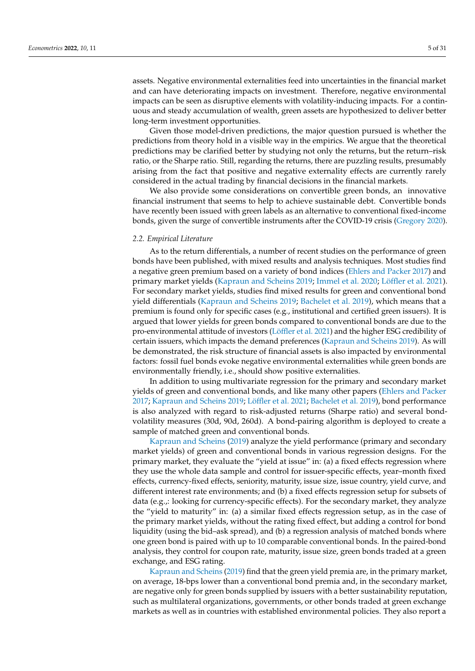assets. Negative environmental externalities feed into uncertainties in the financial market and can have deteriorating impacts on investment. Therefore, negative environmental impacts can be seen as disruptive elements with volatility-inducing impacts. For a continuous and steady accumulation of wealth, green assets are hypothesized to deliver better long-term investment opportunities.

Given those model-driven predictions, the major question pursued is whether the predictions from theory hold in a visible way in the empirics. We argue that the theoretical predictions may be clarified better by studying not only the returns, but the return–risk ratio, or the Sharpe ratio. Still, regarding the returns, there are puzzling results, presumably arising from the fact that positive and negative externality effects are currently rarely considered in the actual trading by financial decisions in the financial markets.

We also provide some considerations on convertible green bonds, an innovative financial instrument that seems to help to achieve sustainable debt. Convertible bonds have recently been issued with green labels as an alternative to conventional fixed-income bonds, given the surge of convertible instruments after the COVID-19 crisis [\(Gregory](#page-29-10) [2020\)](#page-29-10).

# *2.2. Empirical Literature*

As to the return differentials, a number of recent studies on the performance of green bonds have been published, with mixed results and analysis techniques. Most studies find a negative green premium based on a variety of bond indices [\(Ehlers and Packer](#page-29-11) [2017\)](#page-29-11) and primary market yields [\(Kapraun and Scheins](#page-29-9) [2019;](#page-29-9) [Immel et al.](#page-29-12) [2020;](#page-29-12) [Löffler et al.](#page-29-13) [2021\)](#page-29-13). For secondary market yields, studies find mixed results for green and conventional bond yield differentials [\(Kapraun and Scheins](#page-29-9) [2019;](#page-29-9) [Bachelet et al.](#page-28-2) [2019\)](#page-28-2), which means that a premium is found only for specific cases (e.g., institutional and certified green issuers). It is argued that lower yields for green bonds compared to conventional bonds are due to the pro-environmental attitude of investors [\(Löffler et al.](#page-29-13) [2021\)](#page-29-13) and the higher ESG credibility of certain issuers, which impacts the demand preferences [\(Kapraun and Scheins](#page-29-9) [2019\)](#page-29-9). As will be demonstrated, the risk structure of financial assets is also impacted by environmental factors: fossil fuel bonds evoke negative environmental externalities while green bonds are environmentally friendly, i.e., should show positive externalities.

In addition to using multivariate regression for the primary and secondary market yields of green and conventional bonds, and like many other papers [\(Ehlers and Packer](#page-29-11) [2017;](#page-29-11) [Kapraun and Scheins](#page-29-9) [2019;](#page-29-9) [Löffler et al.](#page-29-13) [2021;](#page-29-13) [Bachelet et al.](#page-28-2) [2019\)](#page-28-2), bond performance is also analyzed with regard to risk-adjusted returns (Sharpe ratio) and several bondvolatility measures (30d, 90d, 260d). A bond-pairing algorithm is deployed to create a sample of matched green and conventional bonds.

[Kapraun and Scheins](#page-29-9) [\(2019\)](#page-29-9) analyze the yield performance (primary and secondary market yields) of green and conventional bonds in various regression designs. For the primary market, they evaluate the "yield at issue" in: (a) a fixed effects regression where they use the whole data sample and control for issuer-specific effects, year–month fixed effects, currency-fixed effects, seniority, maturity, issue size, issue country, yield curve, and different interest rate environments; and (b) a fixed effects regression setup for subsets of data (e.g.,: looking for currency-specific effects). For the secondary market, they analyze the "yield to maturity" in: (a) a similar fixed effects regression setup, as in the case of the primary market yields, without the rating fixed effect, but adding a control for bond liquidity (using the bid–ask spread), and (b) a regression analysis of matched bonds where one green bond is paired with up to 10 comparable conventional bonds. In the paired-bond analysis, they control for coupon rate, maturity, issue size, green bonds traded at a green exchange, and ESG rating.

[Kapraun and Scheins](#page-29-9) [\(2019\)](#page-29-9) find that the green yield premia are, in the primary market, on average, 18-bps lower than a conventional bond premia and, in the secondary market, are negative only for green bonds supplied by issuers with a better sustainability reputation, such as multilateral organizations, governments, or other bonds traded at green exchange markets as well as in countries with established environmental policies. They also report a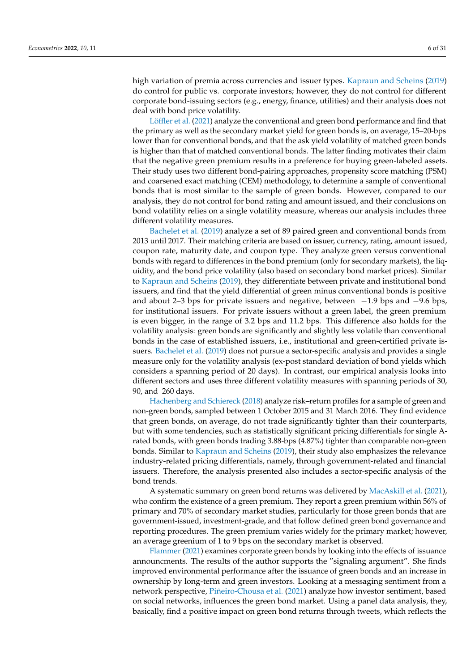high variation of premia across currencies and issuer types. [Kapraun and Scheins](#page-29-9) [\(2019\)](#page-29-9) do control for public vs. corporate investors; however, they do not control for different corporate bond-issuing sectors (e.g., energy, finance, utilities) and their analysis does not deal with bond price volatility.

[Löffler et al.](#page-29-13) [\(2021\)](#page-29-13) analyze the conventional and green bond performance and find that the primary as well as the secondary market yield for green bonds is, on average, 15–20-bps lower than for conventional bonds, and that the ask yield volatility of matched green bonds is higher than that of matched conventional bonds. The latter finding motivates their claim that the negative green premium results in a preference for buying green-labeled assets. Their study uses two different bond-pairing approaches, propensity score matching (PSM) and coarsened exact matching (CEM) methodology, to determine a sample of conventional bonds that is most similar to the sample of green bonds. However, compared to our analysis, they do not control for bond rating and amount issued, and their conclusions on bond volatility relies on a single volatility measure, whereas our analysis includes three different volatility measures.

[Bachelet et al.](#page-28-2) [\(2019\)](#page-28-2) analyze a set of 89 paired green and conventional bonds from 2013 until 2017. Their matching criteria are based on issuer, currency, rating, amount issued, coupon rate, maturity date, and coupon type. They analyze green versus conventional bonds with regard to differences in the bond premium (only for secondary markets), the liquidity, and the bond price volatility (also based on secondary bond market prices). Similar to [Kapraun and Scheins](#page-29-9) [\(2019\)](#page-29-9), they differentiate between private and institutional bond issuers, and find that the yield differential of green minus conventional bonds is positive and about 2–3 bps for private issuers and negative, between  $-1.9$  bps and  $-9.6$  bps, for institutional issuers. For private issuers without a green label, the green premium is even bigger, in the range of 3.2 bps and 11.2 bps. This difference also holds for the volatility analysis: green bonds are significantly and slightly less volatile than conventional bonds in the case of established issuers, i.e., institutional and green-certified private issuers. [Bachelet et al.](#page-28-2) [\(2019\)](#page-28-2) does not pursue a sector-specific analysis and provides a single measure only for the volatility analysis (ex-post standard deviation of bond yields which considers a spanning period of 20 days). In contrast, our empirical analysis looks into different sectors and uses three different volatility measures with spanning periods of 30, 90, and 260 days.

[Hachenberg and Schiereck](#page-29-14) [\(2018\)](#page-29-14) analyze risk–return profiles for a sample of green and non-green bonds, sampled between 1 October 2015 and 31 March 2016. They find evidence that green bonds, on average, do not trade significantly tighter than their counterparts, but with some tendencies, such as statistically significant pricing differentials for single Arated bonds, with green bonds trading 3.88-bps (4.87%) tighter than comparable non-green bonds. Similar to [Kapraun and Scheins](#page-29-9) [\(2019\)](#page-29-9), their study also emphasizes the relevance industry-related pricing differentials, namely, through government-related and financial issuers. Therefore, the analysis presented also includes a sector-specific analysis of the bond trends.

A systematic summary on green bond returns was delivered by [MacAskill et al.](#page-29-15) [\(2021\)](#page-29-15), who confirm the existence of a green premium. They report a green premium within 56% of primary and 70% of secondary market studies, particularly for those green bonds that are government-issued, investment-grade, and that follow defined green bond governance and reporting procedures. The green premium varies widely for the primary market; however, an average greenium of 1 to 9 bps on the secondary market is observed.

[Flammer](#page-29-16) [\(2021\)](#page-29-16) examines corporate green bonds by looking into the effects of issuance announcments. The results of the author supports the "signaling argument". She finds improved environmental performance after the issuance of green bonds and an increase in ownership by long-term and green investors. Looking at a messaging sentiment from a network perspective, [Piñeiro-Chousa et al.](#page-30-6) [\(2021\)](#page-30-6) analyze how investor sentiment, based on social networks, influences the green bond market. Using a panel data analysis, they, basically, find a positive impact on green bond returns through tweets, which reflects the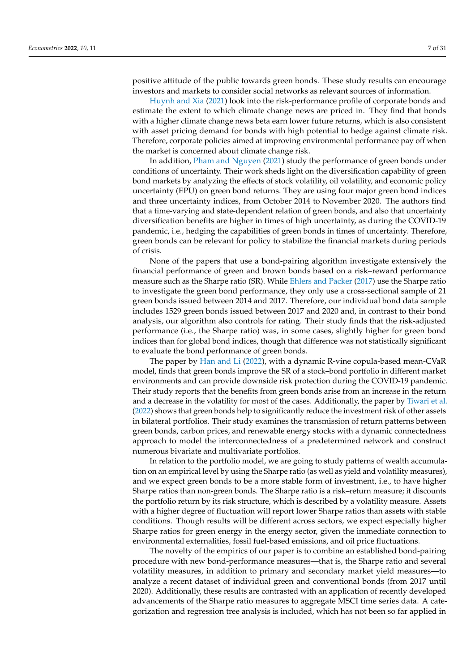positive attitude of the public towards green bonds. These study results can encourage investors and markets to consider social networks as relevant sources of information.

[Huynh and Xia](#page-29-17) [\(2021\)](#page-29-17) look into the risk-performance profile of corporate bonds and estimate the extent to which climate change news are priced in. They find that bonds with a higher climate change news beta earn lower future returns, which is also consistent with asset pricing demand for bonds with high potential to hedge against climate risk. Therefore, corporate policies aimed at improving environmental performance pay off when the market is concerned about climate change risk.

In addition, [Pham and Nguyen](#page-30-7) [\(2021\)](#page-30-7) study the performance of green bonds under conditions of uncertainty. Their work sheds light on the diversification capability of green bond markets by analyzing the effects of stock volatility, oil volatility, and economic policy uncertainty (EPU) on green bond returns. They are using four major green bond indices and three uncertainty indices, from October 2014 to November 2020. The authors find that a time-varying and state-dependent relation of green bonds, and also that uncertainty diversification benefits are higher in times of high uncertainty, as during the COVID-19 pandemic, i.e., hedging the capabilities of green bonds in times of uncertainty. Therefore, green bonds can be relevant for policy to stabilize the financial markets during periods of crisis.

None of the papers that use a bond-pairing algorithm investigate extensively the financial performance of green and brown bonds based on a risk–reward performance measure such as the Sharpe ratio (SR). While [Ehlers and Packer](#page-29-11) [\(2017\)](#page-29-11) use the Sharpe ratio to investigate the green bond performance, they only use a cross-sectional sample of 21 green bonds issued between 2014 and 2017. Therefore, our individual bond data sample includes 1529 green bonds issued between 2017 and 2020 and, in contrast to their bond analysis, our algorithm also controls for rating. Their study finds that the risk-adjusted performance (i.e., the Sharpe ratio) was, in some cases, slightly higher for green bond indices than for global bond indices, though that difference was not statistically significant to evaluate the bond performance of green bonds.

The paper by [Han and Li](#page-29-18) [\(2022\)](#page-29-18), with a dynamic R-vine copula-based mean-CVaR model, finds that green bonds improve the SR of a stock–bond portfolio in different market environments and can provide downside risk protection during the COVID-19 pandemic. Their study reports that the benefits from green bonds arise from an increase in the return and a decrease in the volatility for most of the cases. Additionally, the paper by [Tiwari et al.](#page-30-8) [\(2022\)](#page-30-8) shows that green bonds help to significantly reduce the investment risk of other assets in bilateral portfolios. Their study examines the transmission of return patterns between green bonds, carbon prices, and renewable energy stocks with a dynamic connectedness approach to model the interconnectedness of a predetermined network and construct numerous bivariate and multivariate portfolios.

In relation to the portfolio model, we are going to study patterns of wealth accumulation on an empirical level by using the Sharpe ratio (as well as yield and volatility measures), and we expect green bonds to be a more stable form of investment, i.e., to have higher Sharpe ratios than non-green bonds. The Sharpe ratio is a risk–return measure; it discounts the portfolio return by its risk structure, which is described by a volatility measure. Assets with a higher degree of fluctuation will report lower Sharpe ratios than assets with stable conditions. Though results will be different across sectors, we expect especially higher Sharpe ratios for green energy in the energy sector, given the immediate connection to environmental externalities, fossil fuel-based emissions, and oil price fluctuations.

The novelty of the empirics of our paper is to combine an established bond-pairing procedure with new bond-performance measures—that is, the Sharpe ratio and several volatility measures, in addition to primary and secondary market yield measures—to analyze a recent dataset of individual green and conventional bonds (from 2017 until 2020). Additionally, these results are contrasted with an application of recently developed advancements of the Sharpe ratio measures to aggregate MSCI time series data. A categorization and regression tree analysis is included, which has not been so far applied in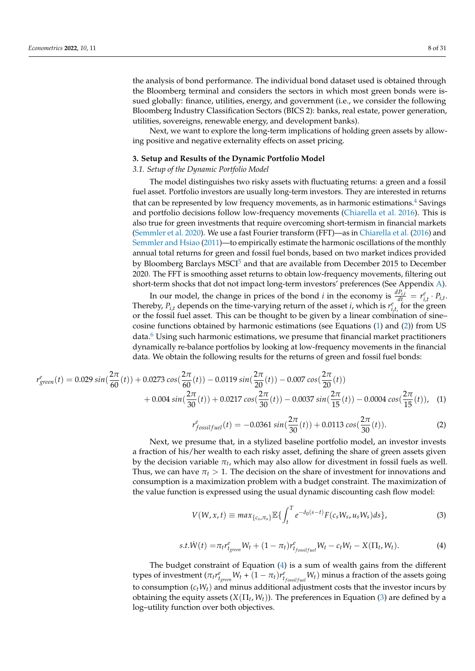the analysis of bond performance. The individual bond dataset used is obtained through the Bloomberg terminal and considers the sectors in which most green bonds were issued globally: finance, utilities, energy, and government (i.e., we consider the following Bloomberg Industry Classification Sectors (BICS 2): banks, real estate, power generation, utilities, sovereigns, renewable energy, and development banks).

Next, we want to explore the long-term implications of holding green assets by allowing positive and negative externality effects on asset pricing.

#### <span id="page-7-0"></span>**3. Setup and Results of the Dynamic Portfolio Model**

# *3.1. Setup of the Dynamic Portfolio Model*

<span id="page-7-5"></span>The model distinguishes two risky assets with fluctuating returns: a green and a fossil fuel asset. Portfolio investors are usually long-term investors. They are interested in returns that can be represented by low frequency movements, as in harmonic estimations.<sup>[4](#page-27-3)</sup> Savings and portfolio decisions follow low-frequency movements [\(Chiarella et al.](#page-29-3) [2016\)](#page-29-3). This is also true for green investments that require overcoming short-termism in financial markets [\(Semmler et al.](#page-30-4) [2020\)](#page-30-4). We use a fast Fourier transform (FFT)—as in [Chiarella et al.](#page-29-3) [\(2016\)](#page-29-3) and [Semmler and Hsiao](#page-30-0) [\(2011\)](#page-30-0)—to empirically estimate the harmonic oscillations of the monthly annual total returns for green and fossil fuel bonds, based on two market indices provided by Bloomberg Barclays MSCI<sup>[5](#page-27-4)</sup> and that are available from December 2015 to December 2020. The FFT is smoothing asset returns to obtain low-frequency movements, filtering out short-term shocks that dot not impact long-term investors' preferences (See Appendix [A\)](#page-23-0).

<span id="page-7-7"></span><span id="page-7-6"></span>In our model, the change in prices of the bond *i* in the economy is  $\frac{dP_{i,t}}{dt} = r_{i,t}^e \cdot P_{i,t}$ . Thereby,  $P_{i,t}$  depends on the time-varying return of the asset *i*, which is  $r_{i,t}^e$ , for the green or the fossil fuel asset. This can be thought to be given by a linear combination of sine– cosine functions obtained by harmonic estimations (see Equations [\(1\)](#page-7-1) and [\(2\)](#page-7-2)) from US data. $6$  Using such harmonic estimations, we presume that financial market practitioners dynamically re-balance portfolios by looking at low-frequency movements in the financial data. We obtain the following results for the returns of green and fossil fuel bonds:

$$
r_{green}^{e}(t) = 0.029 \sin(\frac{2\pi}{60}(t)) + 0.0273 \cos(\frac{2\pi}{60}(t)) - 0.0119 \sin(\frac{2\pi}{20}(t)) - 0.007 \cos(\frac{2\pi}{20}(t))
$$
  
+ 0.004 \sin(\frac{2\pi}{30}(t)) + 0.0217 \cos(\frac{2\pi}{30}(t)) - 0.0037 \sin(\frac{2\pi}{15}(t)) - 0.0004 \cos(\frac{2\pi}{15}(t)), (1)

<span id="page-7-2"></span><span id="page-7-1"></span>
$$
r_{fossilfuel}^{e}(t) = -0.0361 \sin(\frac{2\pi}{30}(t)) + 0.0113 \cos(\frac{2\pi}{30}(t)).
$$
\n(2)

Next, we presume that, in a stylized baseline portfolio model, an investor invests a fraction of his/her wealth to each risky asset, defining the share of green assets given by the decision variable  $\pi_t$ , which may also allow for divestment in fossil fuels as well. Thus, we can have  $\pi_t > 1$ . The decision on the share of investment for innovations and consumption is a maximization problem with a budget constraint. The maximization of the value function is expressed using the usual dynamic discounting cash flow model:

<span id="page-7-4"></span><span id="page-7-3"></span>
$$
V(W, x, t) \equiv max_{\{c_s, \pi_s\}} \mathbb{E}\{\int_t^T e^{-\delta_0(s-t)} F(c_s W_s, u_s W_s) ds\},
$$
\n(3)

$$
s.t. \dot{W}(t) = \pi_t r_{\text{fgreen}}^e W_t + (1 - \pi_t) r_{\text{focal}}^e W_t - c_t W_t - X(\Pi_t, W_t). \tag{4}
$$

The budget constraint of Equation [\(4\)](#page-7-3) is a sum of wealth gains from the different types of investment  $(\pi_t r_{t_{green}}^e W_t + (1 - \pi_t) r_{t_{fossilfuel}}^e W_t)$  minus a fraction of the assets going to consumption  $(c_tW_t)$  and minus additional adjustment costs that the investor incurs by obtaining the equity assets (*X*(Π*<sup>t</sup>* , *Wt*)). The preferences in Equation [\(3\)](#page-7-4) are defined by a log–utility function over both objectives.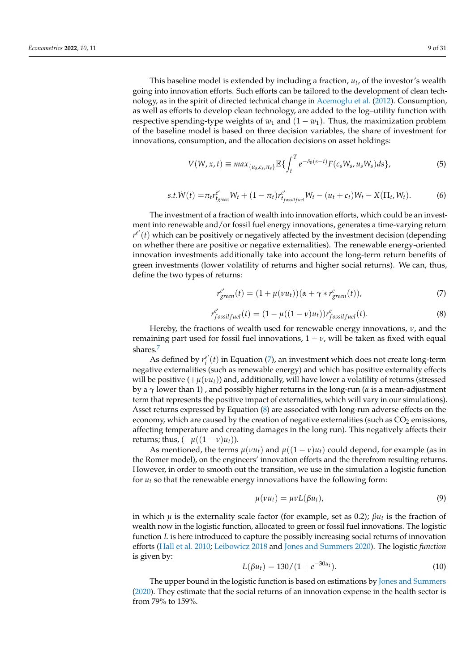This baseline model is extended by including a fraction, *u<sup>t</sup>* , of the investor's wealth going into innovation efforts. Such efforts can be tailored to the development of clean technology, as in the spirit of directed technical change in [Acemoglu et al.](#page-28-1) [\(2012\)](#page-28-1). Consumption, as well as efforts to develop clean technology, are added to the log–utility function with respective spending-type weights of  $w_1$  and  $(1 - w_1)$ . Thus, the maximization problem of the baseline model is based on three decision variables, the share of investment for innovations, consumption, and the allocation decisions on asset holdings:

<span id="page-8-2"></span>
$$
V(W, x, t) \equiv max_{\{u_s, c_s, \pi_s\}} \mathbb{E}\{ \int_t^T e^{-\delta_0(s-t)} F(c_s W_s, u_s W_s) ds \},
$$
\n(5)

$$
s.t. \dot{W}(t) = \pi_t r_{f_{green}}^{e'} W_t + (1 - \pi_t) r_{f_{fossifuel}}^{e'} W_t - (u_t + c_t) W_t - X(\Pi_t, W_t).
$$
 (6)

The investment of a fraction of wealth into innovation efforts, which could be an investment into renewable and/or fossil fuel energy innovations, generates a time-varying return  $r^{e'}(t)$  which can be positively or negatively affected by the investment decision (depending on whether there are positive or negative externalities). The renewable energy-oriented innovation investments additionally take into account the long-term return benefits of green investments (lower volatility of returns and higher social returns). We can, thus, define the two types of returns:

<span id="page-8-0"></span>
$$
r_{green}^{e'}(t) = (1 + \mu(vu_t))(\alpha + \gamma * r_{green}^e(t)),
$$
\n(7)

<span id="page-8-1"></span>
$$
r_{fossifuel}^{e'}(t) = (1 - \mu((1 - \nu)u_t))r_{fossifuel}^{e'}(t).
$$
\n(8)

Hereby, the fractions of wealth used for renewable energy innovations, *ν*, and the remaining part used for fossil fuel innovations,  $1 - v$ , will be taken as fixed with equal shares.<sup>[7](#page-27-6)</sup>

<span id="page-8-3"></span>As defined by  $r_i^{e'}(t)$  in Equation [\(7\)](#page-8-0), an investment which does not create long-term negative externalities (such as renewable energy) and which has positive externality effects will be positive  $(+\mu(\nu u_t))$  and, additionally, will have lower a volatility of returns (stressed by a *γ* lower than 1) , and possibly higher returns in the long-run (*α* is a mean-adjustment term that represents the positive impact of externalities, which will vary in our simulations). Asset returns expressed by Equation [\(8\)](#page-8-1) are associated with long-run adverse effects on the economy, which are caused by the creation of negative externalities (such as  $CO<sub>2</sub>$  emissions, affecting temperature and creating damages in the long run). This negatively affects their returns; thus,  $(-\mu((1-\nu)u_t)).$ 

As mentioned, the terms  $\mu(vu_t)$  and  $\mu((1-v)u_t)$  could depend, for example (as in the Romer model), on the engineers' innovation efforts and the therefrom resulting returns. However, in order to smooth out the transition, we use in the simulation a logistic function for *u<sup>t</sup>* so that the renewable energy innovations have the following form:

$$
\mu(\nu u_t) = \mu \nu L(\beta u_t), \tag{9}
$$

in which *µ* is the externality scale factor (for example, set as 0.2); *βu<sup>t</sup>* is the fraction of wealth now in the logistic function, allocated to green or fossil fuel innovations. The logistic function *L* is here introduced to capture the possibly increasing social returns of innovation efforts [\(Hall et al.](#page-29-19) [2010;](#page-29-19) [Leibowicz](#page-29-20) [2018](#page-29-20) and [Jones and Summers](#page-29-21) [2020\)](#page-29-21). The logistic *function* is given by:

$$
L(\beta u_t) = 130/(1 + e^{-30u_t}).
$$
\n(10)

The upper bound in the logistic function is based on estimations by [Jones and Summers](#page-29-21) [\(2020\)](#page-29-21). They estimate that the social returns of an innovation expense in the health sector is from 79% to 159%.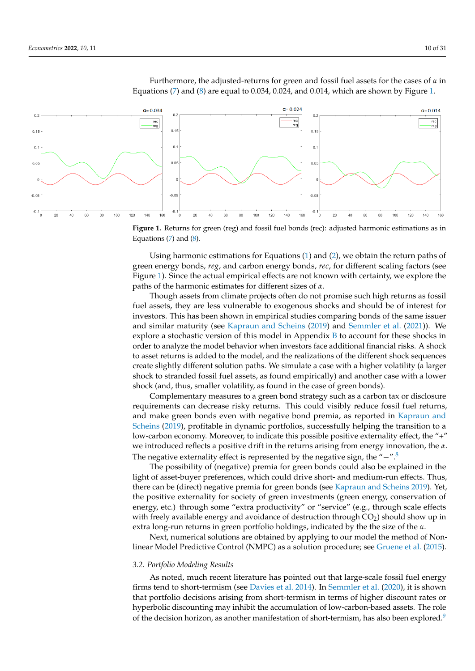

<span id="page-9-0"></span>Furthermore, the adjusted-returns for green and fossil fuel assets for the cases of *α* in Equations  $(7)$  and  $(8)$  are equal to 0.034, 0.024, and 0.014, which are shown by Figure [1.](#page-9-0)

**Figure 1.** Returns for green (reg) and fossil fuel bonds (rec): adjusted harmonic estimations as in Equations  $(7)$  and  $(8)$ .

Using harmonic estimations for Equations [\(1\)](#page-7-1) and [\(2\)](#page-7-2), we obtain the return paths of green energy bonds, *reg*, and carbon energy bonds, *rec*, for different scaling factors (see Figure [1\)](#page-9-0). Since the actual empirical effects are not known with certainty, we explore the paths of the harmonic estimates for different sizes of *α*.

Though assets from climate projects often do not promise such high returns as fossil fuel assets, they are less vulnerable to exogenous shocks and should be of interest for investors. This has been shown in empirical studies comparing bonds of the same issuer and similar maturity (see [Kapraun and Scheins](#page-29-9) [\(2019\)](#page-29-9) and [Semmler et al.](#page-30-9) [\(2021\)](#page-30-9)). We explore a stochastic version of this model in Appendix [B](#page-24-0) to account for these shocks in order to analyze the model behavior when investors face additional financial risks. A shock to asset returns is added to the model, and the realizations of the different shock sequences create slightly different solution paths. We simulate a case with a higher volatility (a larger shock to stranded fossil fuel assets, as found empirically) and another case with a lower shock (and, thus, smaller volatility, as found in the case of green bonds).

Complementary measures to a green bond strategy such as a carbon tax or disclosure requirements can decrease risky returns. This could visibly reduce fossil fuel returns, and make green bonds even with negative bond premia, as reported in [Kapraun and](#page-29-9) [Scheins](#page-29-9) [\(2019\)](#page-29-9), profitable in dynamic portfolios, successfully helping the transition to a low-carbon economy. Moreover, to indicate this possible positive externality effect, the "+" we introduced reflects a positive drift in the returns arising from energy innovation, the *α*. The negative externality effect is represented by the negative sign, the "−".<sup>[8](#page-27-7)</sup>

<span id="page-9-1"></span>The possibility of (negative) premia for green bonds could also be explained in the light of asset-buyer preferences, which could drive short- and medium-run effects. Thus, there can be (direct) negative premia for green bonds (see [Kapraun and Scheins](#page-29-9) [2019\)](#page-29-9). Yet, the positive externality for society of green investments (green energy, conservation of energy, etc.) through some "extra productivity" or "service" (e.g., through scale effects with freely available energy and avoidance of destruction through  $CO<sub>2</sub>$ ) should show up in extra long-run returns in green portfolio holdings, indicated by the the size of the *α*.

Next, numerical solutions are obtained by applying to our model the method of Nonlinear Model Predictive Control (NMPC) as a solution procedure; see [Gruene et al.](#page-29-22) [\(2015\)](#page-29-22).

#### *3.2. Portfolio Modeling Results*

<span id="page-9-2"></span>As noted, much recent literature has pointed out that large-scale fossil fuel energy firms tend to short-termism (see [Davies et al.](#page-29-8) [2014\)](#page-29-8). In [Semmler et al.](#page-30-4) [\(2020\)](#page-30-4), it is shown that portfolio decisions arising from short-termism in terms of higher discount rates or hyperbolic discounting may inhibit the accumulation of low-carbon-based assets. The role of the decision horizon, as another manifestation of short-termism, has also been explored.<sup>[9](#page-28-3)</sup>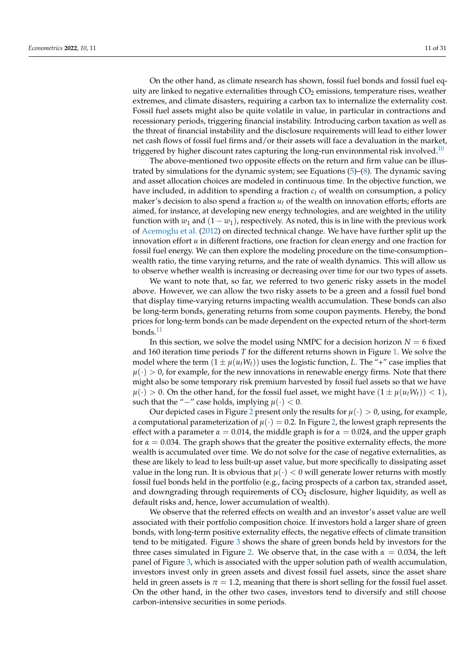On the other hand, as climate research has shown, fossil fuel bonds and fossil fuel equity are linked to negative externalities through  $CO<sub>2</sub>$  emissions, temperature rises, weather extremes, and climate disasters, requiring a carbon tax to internalize the externality cost. Fossil fuel assets might also be quite volatile in value, in particular in contractions and recessionary periods, triggering financial instability. Introducing carbon taxation as well as the threat of financial instability and the disclosure requirements will lead to either lower net cash flows of fossil fuel firms and/or their assets will face a devaluation in the market, triggered by higher discount rates capturing the long-run environmental risk involved. $10$ 

<span id="page-10-0"></span>The above-mentioned two opposite effects on the return and firm value can be illustrated by simulations for the dynamic system; see Equations  $(5)-(8)$  $(5)-(8)$  $(5)-(8)$ . The dynamic saving and asset allocation choices are modeled in continuous time. In the objective function, we have included, in addition to spending a fraction *c<sup>t</sup>* of wealth on consumption, a policy maker's decision to also spend a fraction *u<sup>t</sup>* of the wealth on innovation efforts; efforts are aimed, for instance, at developing new energy technologies, and are weighted in the utility function with  $w_1$  and  $(1 - w_1)$ , respectively. As noted, this is in line with the previous work of [Acemoglu et al.](#page-28-1) [\(2012\)](#page-28-1) on directed technical change. We have have further split up the innovation effort *u* in different fractions, one fraction for clean energy and one fraction for fossil fuel energy. We can then explore the modeling procedure on the time-consumption– wealth ratio, the time varying returns, and the rate of wealth dynamics. This will allow us to observe whether wealth is increasing or decreasing over time for our two types of assets.

We want to note that, so far, we referred to two generic risky assets in the model above. However, we can allow the two risky assets to be a green and a fossil fuel bond that display time-varying returns impacting wealth accumulation. These bonds can also be long-term bonds, generating returns from some coupon payments. Hereby, the bond prices for long-term bonds can be made dependent on the expected return of the short-term bonds. $^{11}$  $^{11}$  $^{11}$ 

<span id="page-10-1"></span>In this section, we solve the model using NMPC for a decision horizon  $N = 6$  fixed and 160 iteration time periods *T* for the different returns shown in Figure [1.](#page-9-0) We solve the model where the term  $(1 \pm \mu(u_tW_t))$  uses the logistic function, *L*. The "+" case implies that  $\mu(\cdot) > 0$ , for example, for the new innovations in renewable energy firms. Note that there might also be some temporary risk premium harvested by fossil fuel assets so that we have  $\mu(\cdot) > 0$ . On the other hand, for the fossil fuel asset, we might have  $(1 \pm \mu(u_t W_t)) < 1$ , such that the " $-$ " case holds, implying  $\mu(\cdot) < 0$ .

Our depicted cases in Figure [2](#page-11-0) present only the results for  $\mu(\cdot) > 0$ , using, for example, a computational parameterization of  $\mu(\cdot) = 0.2$ . In Figure [2,](#page-11-0) the lowest graph represents the effect with a parameter  $\alpha = 0.014$ , the middle graph is for  $\alpha = 0.024$ , and the upper graph for  $\alpha = 0.034$ . The graph shows that the greater the positive externality effects, the more wealth is accumulated over time. We do not solve for the case of negative externalities, as these are likely to lead to less built-up asset value, but more specifically to dissipating asset value in the long run. It is obvious that  $\mu(\cdot) < 0$  will generate lower returns with mostly fossil fuel bonds held in the portfolio (e.g., facing prospects of a carbon tax, stranded asset, and downgrading through requirements of  $CO<sub>2</sub>$  disclosure, higher liquidity, as well as default risks and, hence, lower accumulation of wealth).

We observe that the referred effects on wealth and an investor's asset value are well associated with their portfolio composition choice. If investors hold a larger share of green bonds, with long-term positive externality effects, the negative effects of climate transition tend to be mitigated. Figure [3](#page-11-1) shows the share of green bonds held by investors for the three cases simulated in Figure [2.](#page-11-0) We observe that, in the case with  $\alpha = 0.034$ , the left panel of Figure [3,](#page-11-1) which is associated with the upper solution path of wealth accumulation, investors invest only in green assets and divest fossil fuel assets, since the asset share held in green assets is  $\pi = 1.2$ , meaning that there is short selling for the fossil fuel asset. On the other hand, in the other two cases, investors tend to diversify and still choose carbon-intensive securities in some periods.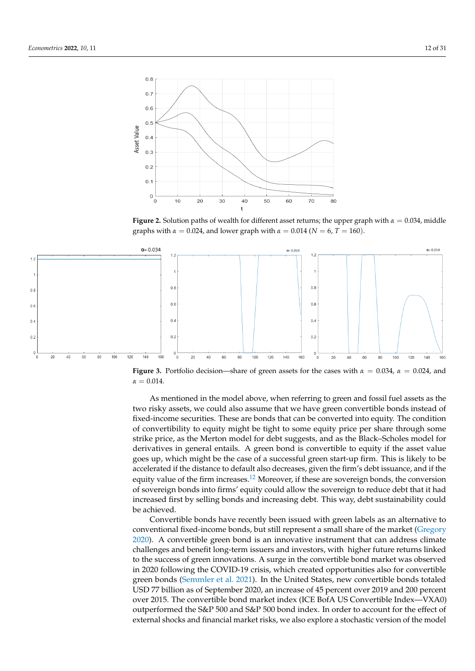<span id="page-11-0"></span>

<span id="page-11-1"></span>**Figure 2.** Solution paths of wealth for different asset returns; the upper graph with  $\alpha = 0.034$ , middle graphs with *α* = 0.024, and lower graph with *α* = 0.014 ( $N = 6$ ,  $T = 160$ ).



**Figure 3.** Portfolio decision—share of green assets for the cases with *α* = 0.034, *α* = 0.024, and  $\alpha = 0.014$ .

As mentioned in the model above, when referring to green and fossil fuel assets as the two risky assets, we could also assume that we have green convertible bonds instead of fixed-income securities. These are bonds that can be converted into equity. The condition of convertibility to equity might be tight to some equity price per share through some strike price, as the Merton model for debt suggests, and as the Black–Scholes model for derivatives in general entails. A green bond is convertible to equity if the asset value goes up, which might be the case of a successful green start-up firm. This is likely to be accelerated if the distance to default also decreases, given the firm's debt issuance, and if the equity value of the firm increases.<sup>[12](#page-28-6)</sup> Moreover, if these are sovereign bonds, the conversion of sovereign bonds into firms' equity could allow the sovereign to reduce debt that it had increased first by selling bonds and increasing debt. This way, debt sustainability could be achieved.

<span id="page-11-2"></span>Convertible bonds have recently been issued with green labels as an alternative to conventional fixed-income bonds, but still represent a small share of the market [\(Gregory](#page-29-10) [2020\)](#page-29-10). A convertible green bond is an innovative instrument that can address climate challenges and benefit long-term issuers and investors, with higher future returns linked to the success of green innovations. A surge in the convertible bond market was observed in 2020 following the COVID-19 crisis, which created opportunities also for convertible green bonds [\(Semmler et al.](#page-30-9) [2021\)](#page-30-9). In the United States, new convertible bonds totaled USD 77 billion as of September 2020, an increase of 45 percent over 2019 and 200 percent over 2015. The convertible bond market index (ICE BofA US Convertible Index—VXA0) outperformed the S&P 500 and S&P 500 bond index. In order to account for the effect of external shocks and financial market risks, we also explore a stochastic version of the model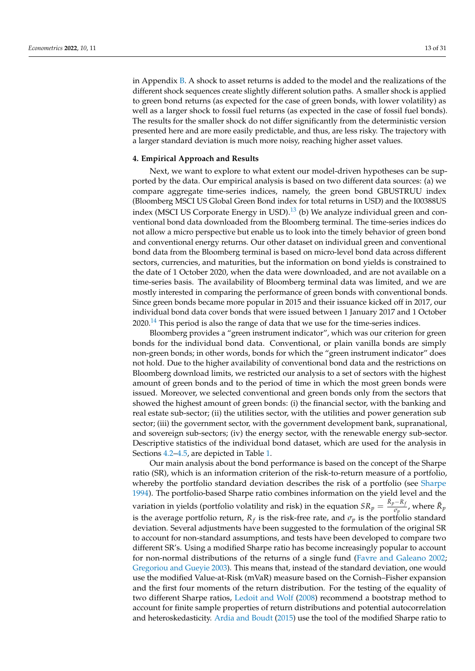in Appendix [B.](#page-24-0) A shock to asset returns is added to the model and the realizations of the different shock sequences create slightly different solution paths. A smaller shock is applied to green bond returns (as expected for the case of green bonds, with lower volatility) as well as a larger shock to fossil fuel returns (as expected in the case of fossil fuel bonds). The results for the smaller shock do not differ significantly from the deterministic version presented here and are more easily predictable, and thus, are less risky. The trajectory with a larger standard deviation is much more noisy, reaching higher asset values.

# <span id="page-12-0"></span>**4. Empirical Approach and Results**

<span id="page-12-1"></span>Next, we want to explore to what extent our model-driven hypotheses can be supported by the data. Our empirical analysis is based on two different data sources: (a) we compare aggregate time-series indices, namely, the green bond GBUSTRUU index (Bloomberg MSCI US Global Green Bond index for total returns in USD) and the I00388US index (MSCI US Corporate Energy in USD).<sup>[13](#page-28-7)</sup> (b) We analyze individual green and conventional bond data downloaded from the Bloomberg terminal. The time-series indices do not allow a micro perspective but enable us to look into the timely behavior of green bond and conventional energy returns. Our other dataset on individual green and conventional bond data from the Bloomberg terminal is based on micro-level bond data across different sectors, currencies, and maturities, but the information on bond yields is constrained to the date of 1 October 2020, when the data were downloaded, and are not available on a time-series basis. The availability of Bloomberg terminal data was limited, and we are mostly interested in comparing the performance of green bonds with conventional bonds. Since green bonds became more popular in 2015 and their issuance kicked off in 2017, our individual bond data cover bonds that were issued between 1 January 2017 and 1 October  $2020$ .<sup>[14](#page-28-8)</sup> This period is also the range of data that we use for the time-series indices.

<span id="page-12-2"></span>Bloomberg provides a "green instrument indicator", which was our criterion for green bonds for the individual bond data. Conventional, or plain vanilla bonds are simply non-green bonds; in other words, bonds for which the "green instrument indicator" does not hold. Due to the higher availability of conventional bond data and the restrictions on Bloomberg download limits, we restricted our analysis to a set of sectors with the highest amount of green bonds and to the period of time in which the most green bonds were issued. Moreover, we selected conventional and green bonds only from the sectors that showed the highest amount of green bonds: (i) the financial sector, with the banking and real estate sub-sector; (ii) the utilities sector, with the utilities and power generation sub sector; (iii) the government sector, with the government development bank, supranational, and sovereign sub-sectors; (iv) the energy sector, with the renewable energy sub-sector. Descriptive statistics of the individual bond dataset, which are used for the analysis in Sections [4.2](#page-16-0)[–4.5,](#page-20-0) are depicted in Table [1.](#page-14-0)

Our main analysis about the bond performance is based on the concept of the Sharpe ratio (SR), which is an information criterion of the risk-to-return measure of a portfolio, whereby the portfolio standard deviation describes the risk of a portfolio (see [Sharpe](#page-30-10) [1994\)](#page-30-10). The portfolio-based Sharpe ratio combines information on the yield level and the variation in yields (portfolio volatility and risk) in the equation  $SR_p = \frac{\bar{R}_p - R_f}{\sigma_p}$  $\frac{\partial \overline{\partial} \mathbf{p}}{\partial p}$ , where  $\bar{R}_p$ is the average portfolio return,  $R_f$  is the risk-free rate, and  $\sigma_p$  is the portfolio standard deviation. Several adjustments have been suggested to the formulation of the original SR to account for non-standard assumptions, and tests have been developed to compare two different SR's. Using a modified Sharpe ratio has become increasingly popular to account for non-normal distributions of the returns of a single fund [\(Favre and Galeano](#page-29-23) [2002;](#page-29-23) [Gregoriou and Gueyie](#page-29-24) [2003\)](#page-29-24). This means that, instead of the standard deviation, one would use the modified Value-at-Risk (mVaR) measure based on the Cornish–Fisher expansion and the first four moments of the return distribution. For the testing of the equality of two different Sharpe ratios, [Ledoit and Wolf](#page-29-25) [\(2008\)](#page-29-25) recommend a bootstrap method to account for finite sample properties of return distributions and potential autocorrelation and heteroskedasticity. [Ardia and Boudt](#page-28-9) [\(2015\)](#page-28-9) use the tool of the modified Sharpe ratio to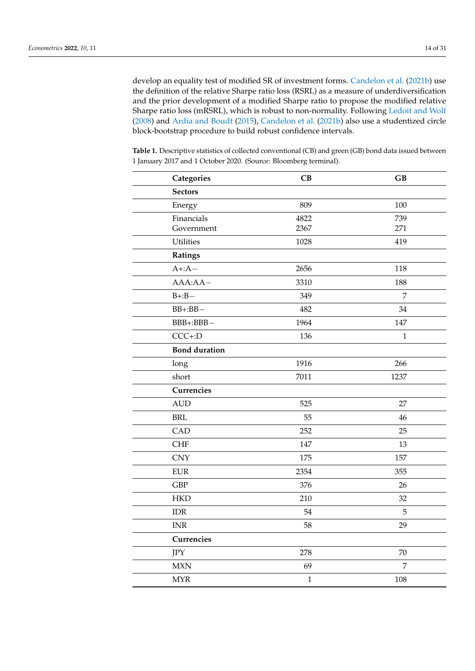develop an equality test of modified SR of investment forms. [Candelon et al.](#page-29-26) [\(2021b\)](#page-29-26) use the definition of the relative Sharpe ratio loss (RSRL) as a measure of underdiversification and the prior development of a modified Sharpe ratio to propose the modified relative Sharpe ratio loss (mRSRL), which is robust to non-normality. Following [Ledoit and Wolf](#page-29-25) [\(2008\)](#page-29-25) and [Ardia and Boudt](#page-28-9) [\(2015\)](#page-28-9), [Candelon et al.](#page-29-26) [\(2021b\)](#page-29-26) also use a studentized circle block-bootstrap procedure to build robust confidence intervals.

**Table 1.** Descriptive statistics of collected conventional (CB) and green (GB) bond data issued between 1 January 2017 and 1 October 2020. (Source: Bloomberg terminal).

| Categories                | CB           | GB             |
|---------------------------|--------------|----------------|
| <b>Sectors</b>            |              |                |
| Energy                    | 809          | 100            |
| Financials                | 4822         | 739            |
| Government                | 2367         | 271            |
| Utilities                 | 1028         | 419            |
| Ratings                   |              |                |
| $A + A -$                 | 2656         | 118            |
| $AAA:AA-$                 | 3310         | 188            |
| $B + : B -$               | 349          | $\overline{7}$ |
| $BB + : BB -$             | 482          | 34             |
| BBB+:BBB-                 | 1964         | 147            |
| $CCC + D$                 | 136          | $\mathbf{1}$   |
| <b>Bond duration</b>      |              |                |
| long                      | 1916         | 266            |
| short                     | 7011         | 1237           |
| Currencies                |              |                |
| <b>AUD</b>                | 525          | 27             |
| <b>BRL</b>                | 55           | 46             |
| CAD                       | 252          | 25             |
| <b>CHF</b>                | 147          | 13             |
| <b>CNY</b>                | 175          | 157            |
| <b>EUR</b>                | 2354         | 355            |
| <b>GBP</b>                | 376          | 26             |
| <b>HKD</b>                | 210          | 32             |
| <b>IDR</b>                | 54           | 5              |
| $\ensuremath{\text{INR}}$ | 58           | 29             |
| Currencies                |              |                |
| JPY                       | 278          | 70             |
| <b>MXN</b>                | 69           | 7              |
| <b>MYR</b>                | $\mathbf{1}$ | 108            |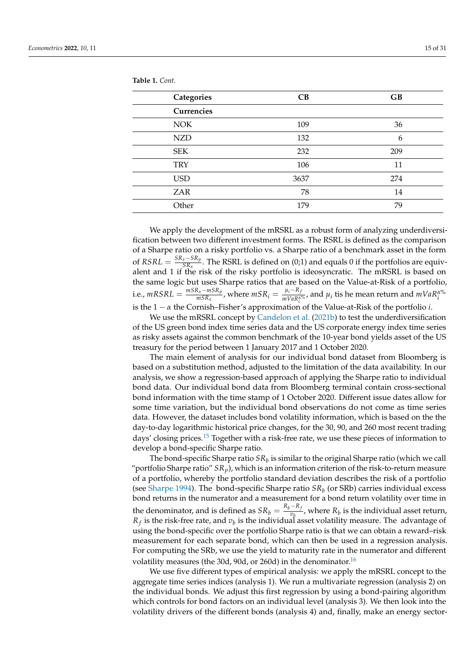<span id="page-14-0"></span>**Table 1.** *Cont.*

| Categories | CB   | GB  |
|------------|------|-----|
| Currencies |      |     |
| <b>NOK</b> | 109  | 36  |
| <b>NZD</b> | 132  | 6   |
| <b>SEK</b> | 232  | 209 |
| <b>TRY</b> | 106  | 11  |
| <b>USD</b> | 3637 | 274 |
| <b>ZAR</b> | 78   | 14  |
| Other      | 179  | 79  |

We apply the development of the mRSRL as a robust form of analyzing underdiversification between two different investment forms. The RSRL is defined as the comparison of a Sharpe ratio on a risky portfolio vs. a Sharpe ratio of a benchmark asset in the form  $\text{of}$  *RSRL* =  $\frac{SR_x - SR_p}{SR_x}$  $\frac{x}{SR_x}$ . The RSRL is defined on (0;1) and equals 0 if the portfolios are equivalent and 1 if the risk of the risky portfolio is ideosyncratic. The mRSRL is based on the same logic but uses Sharpe ratios that are based on the Value-at-Risk of a portfolio,  $i.e.,  $mRSRL = \frac{mSR_x - mSR_p}{mSR_x}$$  $\frac{R_x - mSR_p}{mSR_x}$ , where  $mSR_i = \frac{\mu_i - R_f}{mVaR_i^{\alpha}}$  $\frac{\mu_i - \kappa_f}{mVaR_i^{a\%}}$ , and  $\mu_i$  tis he mean return and  $mVaR_i^{a\%}$ is the 1 − *α* the Cornish–Fisher's approximation of the Value-at-Risk of the portfolio *i*.

We use the mRSRL concept by [Candelon et al.](#page-29-26) [\(2021b\)](#page-29-26) to test the underdiversification of the US green bond index time series data and the US corporate energy index time series as risky assets against the common benchmark of the 10-year bond yields asset of the US treasury for the period between 1 January 2017 and 1 October 2020.

The main element of analysis for our individual bond dataset from Bloomberg is based on a substitution method, adjusted to the limitation of the data availability. In our analysis, we show a regression-based approach of applying the Sharpe ratio to individual bond data. Our individual bond data from Bloomberg terminal contain cross-sectional bond information with the time stamp of 1 October 2020. Different issue dates allow for some time variation, but the individual bond observations do not come as time series data. However, the dataset includes bond volatility information, which is based on the the day-to-day logarithmic historical price changes, for the 30, 90, and 260 most recent trading days' closing prices.<sup>[15](#page-28-10)</sup> Together with a risk-free rate, we use these pieces of information to develop a bond-specific Sharpe ratio.

<span id="page-14-1"></span>The bond-specific Sharpe ratio  $SR_b$  is similar to the original Sharpe ratio (which we call "portfolio Sharpe ratio"  $SR_p$ ), which is an information criterion of the risk-to-return measure of a portfolio, whereby the portfolio standard deviation describes the risk of a portfolio (see [Sharpe](#page-30-10) [1994\)](#page-30-10). The bond-specific Sharpe ratio *SR<sup>b</sup>* (or SRb) carries individual excess bond returns in the numerator and a measurement for a bond return volatility over time in the denominator, and is defined as  $SR_b = \frac{R_b-R_f}{v_b}$  $\frac{V_t}{v_p}$ , where  $R_b$  is the individual asset return,  $R_f$  is the risk-free rate, and  $v_b$  is the individual asset volatility measure. The advantage of using the bond-specific over the portfolio Sharpe ratio is that we can obtain a reward–risk measurement for each separate bond, which can then be used in a regression analysis. For computing the SRb, we use the yield to maturity rate in the numerator and different volatility measures (the 30d, 90d, or 260d) in the denominator.<sup>[16](#page-28-11)</sup>

<span id="page-14-2"></span>We use five different types of empirical analysis: we apply the mRSRL concept to the aggregate time series indices (analysis 1). We run a multivariate regression (analysis 2) on the individual bonds. We adjust this first regression by using a bond-pairing algorithm which controls for bond factors on an individual level (analysis 3). We then look into the volatility drivers of the different bonds (analysis 4) and, finally, make an energy sector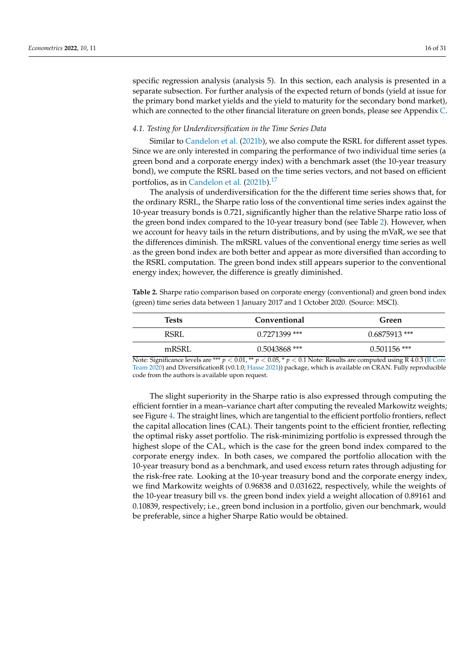specific regression analysis (analysis 5). In this section, each analysis is presented in a separate subsection. For further analysis of the expected return of bonds (yield at issue for the primary bond market yields and the yield to maturity for the secondary bond market), which are connected to the other financial literature on green bonds, please see Appendix [C.](#page-25-0)

#### *4.1. Testing for Underdiversification in the Time Series Data*

Similar to [Candelon et al.](#page-29-26) [\(2021b\)](#page-29-26), we also compute the RSRL for different asset types. Since we are only interested in comparing the performance of two individual time series (a green bond and a corporate energy index) with a benchmark asset (the 10-year treasury bond), we compute the RSRL based on the time series vectors, and not based on efficient portfolios, as in [Candelon et al.](#page-29-26) [\(2021b\)](#page-29-26).<sup>[17](#page-28-12)</sup>

<span id="page-15-1"></span>The analysis of underdiversification for the the different time series shows that, for the ordinary RSRL, the Sharpe ratio loss of the conventional time series index against the 10-year treasury bonds is 0.721, significantly higher than the relative Sharpe ratio loss of the green bond index compared to the 10-year treasury bond (see Table [2\)](#page-15-0). However, when we account for heavy tails in the return distributions, and by using the mVaR, we see that the differences diminish. The mRSRL values of the conventional energy time series as well as the green bond index are both better and appear as more diversified than according to the RSRL computation. The green bond index still appears superior to the conventional energy index; however, the difference is greatly diminished.

<span id="page-15-0"></span>**Table 2.** Sharpe ratio comparison based on corporate energy (conventional) and green bond index (green) time series data between 1 January 2017 and 1 October 2020. (Source: MSCI).

| Tests                                       | Conventional        | Green           |
|---------------------------------------------|---------------------|-----------------|
| <b>RSRL</b>                                 | $0.7271399$ ***     | $0.6875913$ *** |
| mRSRL                                       | $0.5043868$ ***     | $0.501156$ ***  |
| $\cdot$ $\sim$<br>$\mathbf{r}$ $\mathbf{r}$ | $\mathcal{L}$<br>п. | $P_{1}$         |

Note: Significance levels are \*\*\*  $p < 0.01$ , \*\*  $p < 0.05$ , \*  $p < 0.1$  Note: Results are computed using R 4.0.3 [\(R Core](#page-30-11) [Team](#page-30-11) [2020\)](#page-30-11) and DiversificationR (v0.1.0; [Hasse](#page-29-27) [2021\)](#page-29-27)) package, which is available on CRAN. Fully reproducible code from the authors is available upon request.

The slight superiority in the Sharpe ratio is also expressed through computing the efficient forntier in a mean–variance chart after computing the revealed Markowitz weights; see Figure [4.](#page-16-1) The straight lines, which are tangential to the efficient portfolio frontiers, reflect the capital allocation lines (CAL). Their tangents point to the efficient frontier, reflecting the optimal risky asset portfolio. The risk-minimizing portfolio is expressed through the highest slope of the CAL, which is the case for the green bond index compared to the corporate energy index. In both cases, we compared the portfolio allocation with the 10-year treasury bond as a benchmark, and used excess return rates through adjusting for the risk-free rate. Looking at the 10-year treasury bond and the corporate energy index, we find Markowitz weights of 0.96838 and 0.031622, respectively, while the weights of the 10-year treasury bill vs. the green bond index yield a weight allocation of 0.89161 and 0.10839, respectively; i.e., green bond inclusion in a portfolio, given our benchmark, would be preferable, since a higher Sharpe Ratio would be obtained.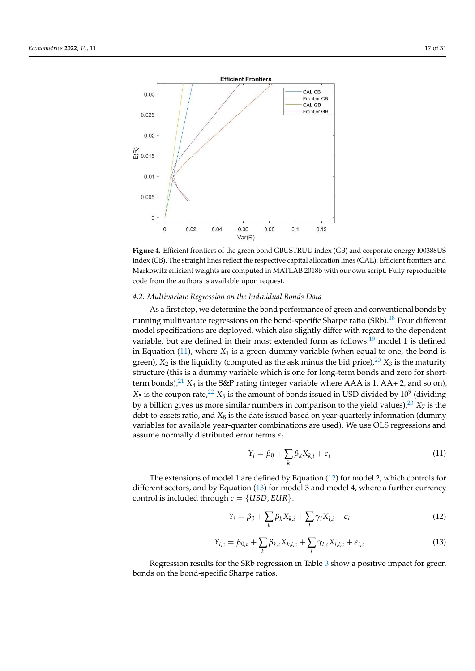<span id="page-16-1"></span>



#### <span id="page-16-0"></span>*4.2. Multivariate Regression on the Individual Bonds Data*

<span id="page-16-8"></span>As a first step, we determine the bond performance of green and conventional bonds by running multivariate regressions on the bond-specific Sharpe ratio  $(SRb)$ .<sup>[18](#page-28-13)</sup> Four different model specifications are deployed, which also slightly differ with regard to the dependent variable, but are defined in their most extended form as follows:[19](#page-28-14) model 1 is defined in Equation  $(11)$ , where  $X_1$  is a green dummy variable (when equal to one, the bond is green),  $X_2$  is the liquidity (computed as the ask minus the bid price),  $20 X_3$  $20 X_3$  is the maturity structure (this is a dummy variable which is one for long-term bonds and zero for shortterm bonds), $^{21}$  $^{21}$  $^{21}$   $X_4$  is the S&P rating (integer variable where AAA is 1, AA+ 2, and so on),  $X_5$  is the coupon rate, $^{22}$  $^{22}$  $^{22}$   $X_6$  is the amount of bonds issued in USD divided by  $10^9$  (dividing by a billion gives us more similar numbers in comparison to the yield values),  $23 X<sub>7</sub>$  $23 X<sub>7</sub>$  is the debt-to-assets ratio, and  $X_8$  is the date issued based on year-quarterly information (dummy variables for available year-quarter combinations are used). We use OLS regressions and assume normally distributed error terms *e<sup>i</sup>* .

<span id="page-16-10"></span><span id="page-16-9"></span><span id="page-16-7"></span><span id="page-16-6"></span><span id="page-16-5"></span><span id="page-16-2"></span>
$$
Y_i = \beta_0 + \sum_k \beta_k X_{k,i} + \epsilon_i \tag{11}
$$

The extensions of model 1 are defined by Equation [\(12\)](#page-16-3) for model 2, which controls for different sectors, and by Equation [\(13\)](#page-16-4) for model 3 and model 4, where a further currency control is included through  $c = \{USD, EUR\}$ .

<span id="page-16-3"></span>
$$
Y_i = \beta_0 + \sum_k \beta_k X_{k,i} + \sum_l \gamma_l X_{l,i} + \epsilon_i
$$
\n(12)

<span id="page-16-4"></span>
$$
Y_{i,c} = \beta_{0,c} + \sum_{k} \beta_{k,c} X_{k,i,c} + \sum_{l} \gamma_{l,c} X_{l,i,c} + \epsilon_{i,c}
$$
 (13)

Regression results for the SRb regression in Table [3](#page-17-0) show a positive impact for green bonds on the bond-specific Sharpe ratios.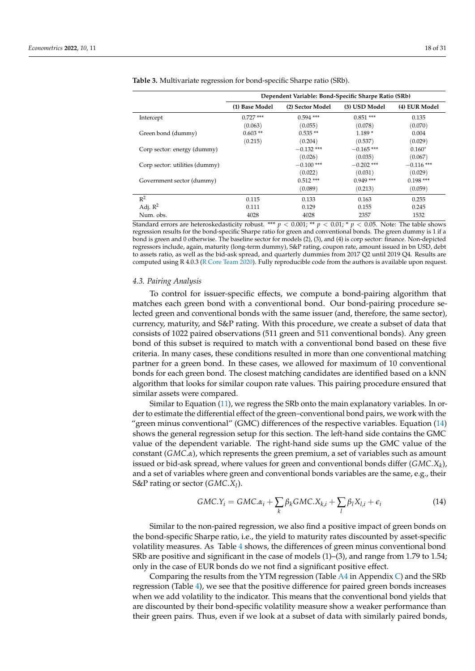|                                | Dependent Variable: Bond-Specific Sharpe Ratio (SRb) |                  |               |               |  |  |
|--------------------------------|------------------------------------------------------|------------------|---------------|---------------|--|--|
|                                | (1) Base Model                                       | (2) Sector Model | (3) USD Model | (4) EUR Model |  |  |
| Intercept                      | $0.727$ ***                                          | $0.594$ ***      | $0.851***$    | 0.135         |  |  |
|                                | (0.063)                                              | (0.055)          | (0.078)       | (0.070)       |  |  |
| Green bond (dummy)             | $0.603**$                                            | $0.535**$        | $1.189*$      | 0.004         |  |  |
|                                | (0.215)                                              | (0.204)          | (0.537)       | (0.029)       |  |  |
| Corp sector: energy (dummy)    |                                                      | $-0.132$ ***     | $-0.165$ ***  | $0.160*$      |  |  |
|                                |                                                      | (0.026)          | (0.035)       | (0.067)       |  |  |
| Corp sector: utilities (dummy) |                                                      | $-0.100$ ***     | $-0.202$ ***  | $-0.116$ ***  |  |  |
|                                |                                                      | (0.022)          | (0.031)       | (0.029)       |  |  |
| Government sector (dummy)      |                                                      | $0.512***$       | $0.949$ ***   | $0.198$ ***   |  |  |
|                                |                                                      | (0.089)          | (0.213)       | (0.059)       |  |  |
| $\mathbb{R}^2$                 | 0.115                                                | 0.133            | 0.163         | 0.255         |  |  |
| Adj. $R^2$                     | 0.111                                                | 0.129            | 0.155         | 0.245         |  |  |
| Num. obs.                      | 4028                                                 | 4028             | 2357          | 1532          |  |  |

<span id="page-17-0"></span>**Table 3.** Multivariate regression for bond-specific Sharpe ratio (SRb).

Standard errors are heteroskedasticity robust. \*\*\*  $p < 0.001$ ; \*\*  $p < 0.01$ ; \*  $p < 0.05$ . Note: The table shows regression results for the bond-specific Sharpe ratio for green and conventional bonds. The green dummy is 1 if a bond is green and 0 otherwise. The baseline sector for models (2), (3), and (4) is corp sector: finance. Non-depicted regressors include, again, maturity (long-term dummy), S&P rating, coupon rate, amount issued in bn USD, debt to assets ratio, as well as the bid-ask spread, and quarterly dummies from 2017 Q2 until 2019 Q4. Results are computed using R 4.0.3 [\(R Core Team](#page-30-11) [2020\)](#page-30-11). Fully reproducible code from the authors is available upon request.

#### <span id="page-17-2"></span>*4.3. Pairing Analysis*

To control for issuer-specific effects, we compute a bond-pairing algorithm that matches each green bond with a conventional bond. Our bond-pairing procedure selected green and conventional bonds with the same issuer (and, therefore, the same sector), currency, maturity, and S&P rating. With this procedure, we create a subset of data that consists of 1022 paired observations (511 green and 511 conventional bonds). Any green bond of this subset is required to match with a conventional bond based on these five criteria. In many cases, these conditions resulted in more than one conventional matching partner for a green bond. In these cases, we allowed for maximum of 10 conventional bonds for each green bond. The closest matching candidates are identified based on a kNN algorithm that looks for similar coupon rate values. This pairing procedure ensured that similar assets were compared.

Similar to Equation [\(11\)](#page-16-2), we regress the SRb onto the main explanatory variables. In order to estimate the differential effect of the green–conventional bond pairs, we work with the "green minus conventional" (GMC) differences of the respective variables. Equation [\(14\)](#page-17-1) shows the general regression setup for this section. The left-hand side contains the GMC value of the dependent variable. The right-hand side sums up the GMC value of the constant (*GMC*.*α*), which represents the green premium, a set of variables such as amount issued or bid-ask spread, where values for green and conventional bonds differ (*GMC*.*X<sup>k</sup>* ), and a set of variables where green and conventional bonds variables are the same, e.g., their S&P rating or sector (*GMC*.*X<sup>l</sup>* ).

<span id="page-17-1"></span>
$$
GMC.Y_i = GMC.\alpha_i + \sum_{k} \beta_k GMC.X_{k,i} + \sum_{l} \beta_l X_{l,i} + \epsilon_i
$$
\n(14)

Similar to the non-paired regression, we also find a positive impact of green bonds on the bond-specific Sharpe ratio, i.e., the yield to maturity rates discounted by asset-specific volatility measures. As Table [4](#page-18-0) shows, the differences of green minus conventional bond SRb are positive and significant in the case of models (1)–(3), and range from 1.79 to 1.54; only in the case of EUR bonds do we not find a significant positive effect.

Comparing the results from the YTM regression (Table  $AA$  in Appendix [C\)](#page-25-0) and the SRb regression (Table [4\)](#page-18-0), we see that the positive difference for paired green bonds increases when we add volatility to the indicator. This means that the conventional bond yields that are discounted by their bond-specific volatility measure show a weaker performance than their green pairs. Thus, even if we look at a subset of data with similarly paired bonds,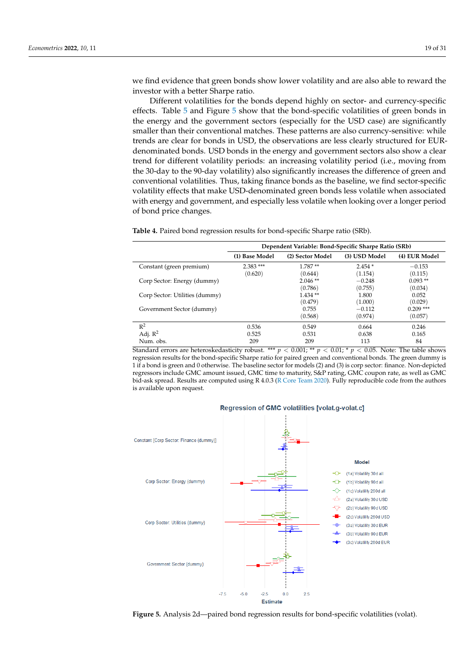we find evidence that green bonds show lower volatility and are also able to reward the investor with a better Sharpe ratio.

Different volatilities for the bonds depend highly on sector- and currency-specific effects. Table [5](#page-19-0) and Figure [5](#page-18-1) show that the bond-specific volatilities of green bonds in the energy and the government sectors (especially for the USD case) are significantly smaller than their conventional matches. These patterns are also currency-sensitive: while trends are clear for bonds in USD, the observations are less clearly structured for EURdenominated bonds. USD bonds in the energy and government sectors also show a clear trend for different volatility periods: an increasing volatility period (i.e., moving from the 30-day to the 90-day volatility) also significantly increases the difference of green and conventional volatilities. Thus, taking finance bonds as the baseline, we find sector-specific volatility effects that make USD-denominated green bonds less volatile when associated with energy and government, and especially less volatile when looking over a longer period of bond price changes.

<span id="page-18-0"></span>**Table 4.** Paired bond regression results for bond-specific Sharpe ratio (SRb).

|                                | Dependent Variable: Bond-Specific Sharpe Ratio (SRb) |                      |                     |                        |  |  |
|--------------------------------|------------------------------------------------------|----------------------|---------------------|------------------------|--|--|
|                                | (1) Base Model                                       | (2) Sector Model     | (3) USD Model       | (4) EUR Model          |  |  |
| Constant (green premium)       | $2.383***$<br>(0.620)                                | $1.787**$<br>(0.644) | $2.454*$<br>(1.154) | $-0.153$<br>(0.115)    |  |  |
| Corp Sector: Energy (dummy)    |                                                      | $2.046**$<br>(0.786) | $-0.248$<br>(0.755) | $0.093**$<br>(0.034)   |  |  |
| Corp Sector: Utilities (dummy) |                                                      | $1.434**$<br>(0.479) | 1.800<br>(1.000)    | 0.052<br>(0.029)       |  |  |
| Government Sector (dummy)      |                                                      | 0.755<br>(0.568)     | $-0.112$<br>(0.974) | $0.209$ ***<br>(0.057) |  |  |
| $R^2$                          | 0.536                                                | 0.549                | 0.664               | 0.246                  |  |  |
| Adj. $R^2$<br>Num. obs.        | 0.525<br>209                                         | 0.531<br>209         | 0.638<br>113        | 0.165<br>84            |  |  |

Standard errors are heteroskedasticity robust. \*\*\*  $p < 0.001$ ; \*\*  $p < 0.01$ ; \*  $p < 0.05$ . Note: The table shows regression results for the bond-specific Sharpe ratio for paired green and conventional bonds. The green dummy is 1 if a bond is green and 0 otherwise. The baseline sector for models (2) and (3) is corp sector: finance. Non-depicted regressors include GMC amount issued, GMC time to maturity, S&P rating, GMC coupon rate, as well as GMC bid-ask spread. Results are computed using R 4.0.3 [\(R Core Team](#page-30-11) [2020\)](#page-30-11). Fully reproducible code from the authors is available upon request.

<span id="page-18-1"></span>

Regression of GMC volatilities [volat.g-volat.c]

**Figure 5.** Analysis 2d—paired bond regression results for bond-specific volatilities (volat).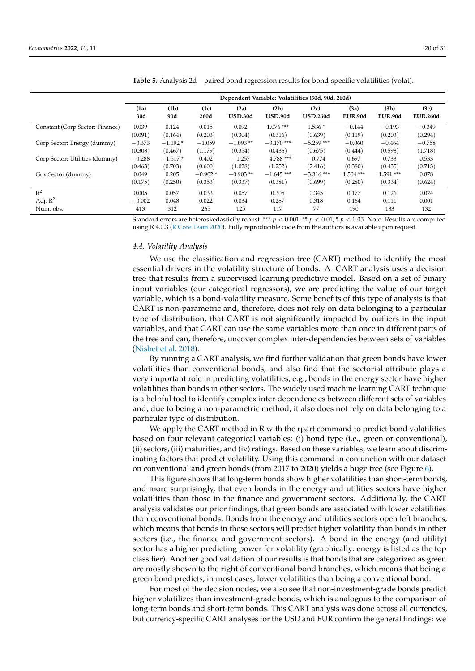|                                 | Dependent Variable: Volatilities (30d, 90d, 260d) |           |           |                |                |                 |                |                   |                 |
|---------------------------------|---------------------------------------------------|-----------|-----------|----------------|----------------|-----------------|----------------|-------------------|-----------------|
|                                 | (1a)                                              | (1b)      | (1c)      | (2a)           | (2b)           | (2c)            | (3a)           | (3 <sub>b</sub> ) | (3c)            |
|                                 | 30d                                               | 90d       | 260d      | <b>USD.30d</b> | <b>USD.90d</b> | <b>USD.260d</b> | <b>EUR.90d</b> | <b>EUR.90d</b>    | <b>EUR.260d</b> |
| Constant (Corp Sector: Finance) | 0.039                                             | 0.124     | 0.015     | 0.092          | $1.076$ ***    | $1.536*$        | $-0.144$       | $-0.193$          | $-0.349$        |
|                                 | (0.091)                                           | (0.164)   | (0.203)   | (0.304)        | (0.316)        | (0.639)         | (0.119)        | (0.203)           | (0.294)         |
| Corp Sector: Energy (dummy)     | $-0.373$                                          | $-1.192*$ | $-1.059$  | $-1.093**$     | $-3.170$ ***   | $-5.259$ ***    | $-0.060$       | $-0.464$          | $-0.758$        |
|                                 | (0.308)                                           | (0.467)   | (1.179)   | (0.354)        | (0.436)        | (0.675)         | (0.444)        | (0.598)           | (1.718)         |
| Corp Sector: Utilities (dummy)  | $-0.288$                                          | $-1.517*$ | 0.402     | $-1.257$       | $-4.788$ ***   | $-0.774$        | 0.697          | 0.733             | 0.533           |
|                                 | (0.463)                                           | (0.703)   | (0.600)   | (1.028)        | (1.252)        | (2.416)         | (0.380)        | (0.435)           | (0.713)         |
| Gov Sector (dummy)              | 0.049                                             | 0.205     | $-0.902*$ | $-0.903**$     | $-1.645$ ***   | $-3.316$ ***    | $1.504$ ***    | $1.591***$        | 0.878           |
|                                 | (0.175)                                           | (0.250)   | (0.353)   | (0.337)        | (0.381)        | (0.699)         | (0.280)        | (0.334)           | (0.624)         |
| $R^2$                           | 0.005                                             | 0.057     | 0.033     | 0.057          | 0.305          | 0.345           | 0.177          | 0.126             | 0.024           |
| Adj. $\mathbb{R}^2$             | $-0.002$                                          | 0.048     | 0.022     | 0.034          | 0.287          | 0.318           | 0.164          | 0.111             | 0.001           |
| Num. obs.                       | 413                                               | 312       | 265       | 125            | 117            | 77              | 190            | 183               | 132             |

<span id="page-19-0"></span>**Table 5.** Analysis 2d—paired bond regression results for bond-specific volatilities (volat).

Standard errors are heteroskedasticity robust. \*\*\* *p* < 0.001; \*\* *p* < 0.01; \* *p* < 0.05. Note: Results are computed using R 4.0.3 [\(R Core Team](#page-30-11) [2020\)](#page-30-11). Fully reproducible code from the authors is available upon request.

#### *4.4. Volatility Analysis*

We use the classification and regression tree (CART) method to identify the most essential drivers in the volatility structure of bonds. A CART analysis uses a decision tree that results from a supervised learning predictive model. Based on a set of binary input variables (our categorical regressors), we are predicting the value of our target variable, which is a bond-volatility measure. Some benefits of this type of analysis is that CART is non-parametric and, therefore, does not rely on data belonging to a particular type of distribution, that CART is not significantly impacted by outliers in the input variables, and that CART can use the same variables more than once in different parts of the tree and can, therefore, uncover complex inter-dependencies between sets of variables [\(Nisbet et al.](#page-30-12) [2018\)](#page-30-12).

By running a CART analysis, we find further validation that green bonds have lower volatilities than conventional bonds, and also find that the sectorial attribute plays a very important role in predicting volatilities, e.g., bonds in the energy sector have higher volatilities than bonds in other sectors. The widely used machine learning CART technique is a helpful tool to identify complex inter-dependencies between different sets of variables and, due to being a non-parametric method, it also does not rely on data belonging to a particular type of distribution.

We apply the CART method in R with the rpart command to predict bond volatilities based on four relevant categorical variables: (i) bond type (i.e., green or conventional), (ii) sectors, (iii) maturities, and (iv) ratings. Based on these variables, we learn about discriminating factors that predict volatility. Using this command in conjunction with our dataset on conventional and green bonds (from 2017 to 2020) yields a huge tree (see Figure [6\)](#page-20-1).

This figure shows that long-term bonds show higher volatilities than short-term bonds, and more surprisingly, that even bonds in the energy and utilities sectors have higher volatilities than those in the finance and government sectors. Additionally, the CART analysis validates our prior findings, that green bonds are associated with lower volatilities than conventional bonds. Bonds from the energy and utilities sectors open left branches, which means that bonds in these sectors will predict higher volatility than bonds in other sectors (i.e., the finance and government sectors). A bond in the energy (and utility) sector has a higher predicting power for volatility (graphically: energy is listed as the top classifier). Another good validation of our results is that bonds that are categorized as green are mostly shown to the right of conventional bond branches, which means that being a green bond predicts, in most cases, lower volatilities than being a conventional bond.

For most of the decision nodes, we also see that non-investment-grade bonds predict higher volatilizes than investment-grade bonds, which is analogous to the comparison of long-term bonds and short-term bonds. This CART analysis was done across all currencies, but currency-specific CART analyses for the USD and EUR confirm the general findings: we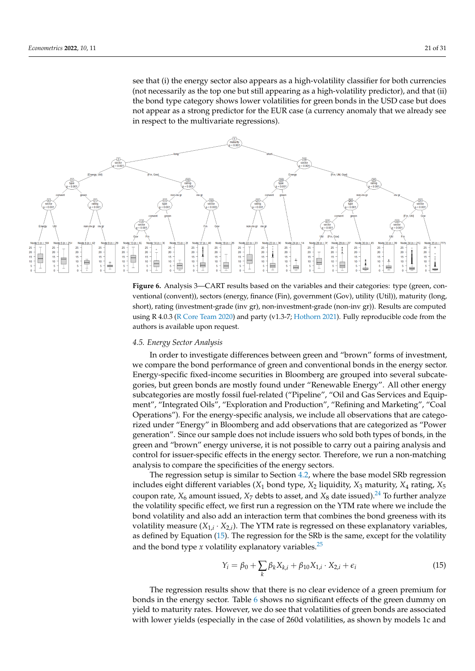<span id="page-20-1"></span>see that (i) the energy sector also appears as a high-volatility classifier for both currencies (not necessarily as the top one but still appearing as a high-volatility predictor), and that (ii) the bond type category shows lower volatilities for green bonds in the USD case but does not appear as a strong predictor for the EUR case (a currency anomaly that we already see in respect to the multivariate regressions).



**Figure 6.** Analysis 3—CART results based on the variables and their categories: type (green, conventional (convent)), sectors (energy, finance (Fin), government (Gov), utility (Util)), maturity (long, short), rating (investment-grade (inv gr), non-investment-grade (non-inv gr)). Results are computed using R 4.0.3 [\(R Core Team](#page-30-11) [2020\)](#page-30-11) and party (v1.3-7; [Hothorn](#page-29-28) [2021\)](#page-29-28). Fully reproducible code from the authors is available upon request.

#### <span id="page-20-0"></span>*4.5. Energy Sector Analysis*

In order to investigate differences between green and "brown" forms of investment, we compare the bond performance of green and conventional bonds in the energy sector. Energy-specific fixed-income securities in Bloomberg are grouped into several subcategories, but green bonds are mostly found under "Renewable Energy". All other energy subcategories are mostly fossil fuel-related ("Pipeline", "Oil and Gas Services and Equipment", "Integrated Oils", "Exploration and Production", "Refining and Marketing", "Coal Operations"). For the energy-specific analysis, we include all observations that are categorized under "Energy" in Bloomberg and add observations that are categorized as "Power generation". Since our sample does not include issuers who sold both types of bonds, in the green and "brown" energy universe, it is not possible to carry out a pairing analysis and control for issuer-specific effects in the energy sector. Therefore, we run a non-matching analysis to compare the specificities of the energy sectors.

The regression setup is similar to Section [4.2,](#page-16-0) where the base model SRb regression includes eight different variables  $(X_1 \text{ bond type}, X_2 \text{ liquidity}, X_3 \text{ maturity}, X_4 \text{ rating}, X_5$ coupon rate,  $X_6$  amount issued,  $X_7$  debts to asset, and  $X_8$  date issued).<sup>[24](#page-28-19)</sup> To further analyze the volatility specific effect, we first run a regression on the YTM rate where we include the bond volatility and also add an interaction term that combines the bond greeness with its volatility measure  $(X_{1,i} \cdot X_{2,i})$ . The YTM rate is regressed on these explanatory variables, as defined by Equation [\(15\)](#page-20-2). The regression for the SRb is the same, except for the volatility and the bond type  $x$  volatility explanatory variables.<sup>[25](#page-28-20)</sup>

<span id="page-20-4"></span><span id="page-20-3"></span><span id="page-20-2"></span>
$$
Y_{i} = \beta_{0} + \sum_{k} \beta_{k} X_{k,i} + \beta_{10} X_{1,i} \cdot X_{2,i} + \epsilon_{i}
$$
 (15)

The regression results show that there is no clear evidence of a green premium for bonds in the energy sector. Table [6](#page-21-0) shows no significant effects of the green dummy on yield to maturity rates. However, we do see that volatilities of green bonds are associated with lower yields (especially in the case of 260d volatilities, as shown by models 1c and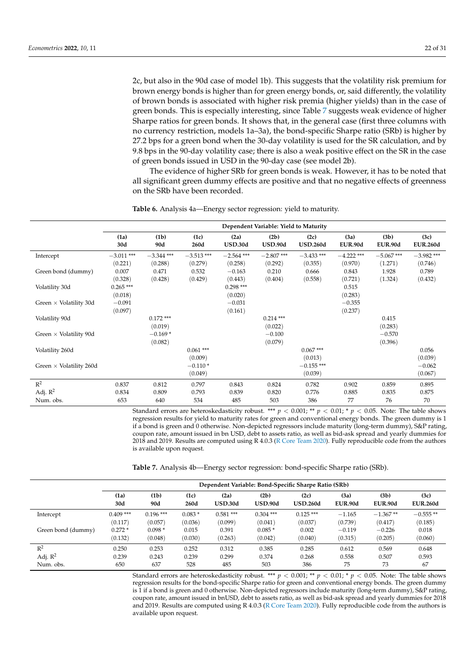2c, but also in the 90d case of model 1b). This suggests that the volatility risk premium for brown energy bonds is higher than for green energy bonds, or, said differently, the volatility of brown bonds is associated with higher risk premia (higher yields) than in the case of green bonds. This is especially interesting, since Table [7](#page-21-1) suggests weak evidence of higher Sharpe ratios for green bonds. It shows that, in the general case (first three columns with no currency restriction, models 1a–3a), the bond-specific Sharpe ratio (SRb) is higher by 27.2 bps for a green bond when the 30-day volatility is used for the SR calculation, and by 9.8 bps in the 90-day volatility case; there is also a weak positive effect on the SR in the case of green bonds issued in USD in the 90-day case (see model 2b).

The evidence of higher SRb for green bonds is weak. However, it has to be noted that all significant green dummy effects are positive and that no negative effects of greenness on the SRb have been recorded.

|                                | Dependent Variable: Yield to Maturity |              |                                 |                                  |                        |                                    |                             |                                     |                                |
|--------------------------------|---------------------------------------|--------------|---------------------------------|----------------------------------|------------------------|------------------------------------|-----------------------------|-------------------------------------|--------------------------------|
|                                | (1a)<br>30d                           | (1b)<br>90d  | (1c)<br>260d                    | (2a)<br><b>USD.30d</b>           | (2b)<br><b>USD.90d</b> | (2c)<br><b>USD.260d</b>            | (3a)<br><b>EUR.90d</b>      | (3 <sub>b</sub> )<br><b>EUR.90d</b> | (3c)<br><b>EUR.260d</b>        |
| Intercept                      | $-3.011$ ***                          | $-3.344$ *** | $-3.513$ ***                    | $-2.564$ ***                     | $-2.807$ ***           | $-3.433$ ***                       | $-4.222$ ***                | $-5.067$ ***                        | $-3.982$ ***                   |
|                                | (0.221)                               | (0.288)      | (0.279)                         | (0.258)                          | (0.292)                | (0.355)                            | (0.970)                     | (1.271)                             | (0.746)                        |
| Green bond (dummy)             | 0.007                                 | 0.471        | 0.532                           | $-0.163$                         | 0.210                  | 0.666                              | 0.843                       | 1.928                               | 0.789                          |
| Volatility 30d                 | (0.328)<br>$0.265***$<br>(0.018)      | (0.428)      | (0.429)                         | (0.443)<br>$0.298***$<br>(0.020) | (0.404)                | (0.558)                            | (0.721)<br>0.515<br>(0.283) | (1.324)                             | (0.432)                        |
| Green $\times$ Volatility 30d  | $-0.091$<br>(0.097)                   |              |                                 | $-0.031$<br>(0.161)              |                        |                                    | $-0.355$<br>(0.237)         |                                     |                                |
| Volatility 90d                 |                                       | $0.172$ ***  |                                 |                                  | $0.214***$             |                                    |                             | 0.415                               |                                |
|                                |                                       | (0.019)      |                                 |                                  | (0.022)                |                                    |                             | (0.283)                             |                                |
| Green $\times$ Volatility 90d  |                                       | $-0.169*$    |                                 |                                  | $-0.100$               |                                    |                             | $-0.570$                            |                                |
|                                |                                       | (0.082)      |                                 |                                  | (0.079)                |                                    |                             | (0.396)                             |                                |
| Volatility 260d                |                                       |              | $0.061***$                      |                                  |                        | $0.067***$                         |                             |                                     | 0.056                          |
| Green $\times$ Volatility 260d |                                       |              | (0.009)<br>$-0.110*$<br>(0.049) |                                  |                        | (0.013)<br>$-0.155$ ***<br>(0.039) |                             |                                     | (0.039)<br>$-0.062$<br>(0.067) |
| $R^2$                          | 0.837                                 | 0.812        | 0.797                           | 0.843                            | 0.824                  | 0.782                              | 0.902                       | 0.859                               | 0.895                          |
| Adj. $R^2$                     | 0.834                                 | 0.809        | 0.793                           | 0.839                            | 0.820                  | 0.776                              | 0.885                       | 0.835                               | 0.875                          |
| Num. obs.                      | 653                                   | 640          | 534                             | 485                              | 503                    | 386                                | 77                          | 76                                  | 70                             |

<span id="page-21-0"></span>**Table 6.** Analysis 4a—Energy sector regression: yield to maturity.

Standard errors are heteroskedasticity robust. \*\*\*  $p < 0.001$ ; \*\*  $p < 0.01$ ; \*  $p < 0.05$ . Note: The table shows regression results for yield to maturity rates for green and conventional energy bonds. The green dummy is 1 if a bond is green and 0 otherwise. Non-depicted regressors include maturity (long-term dummy), S&P rating, coupon rate, amount issued in bn USD, debt to assets ratio, as well as bid-ask spread and yearly dummies for 2018 and 2019. Results are computed using R 4.0.3 [\(R Core Team](#page-30-11) [2020\)](#page-30-11). Fully reproducible code from the authors is available upon request.

<span id="page-21-1"></span>**Table 7.** Analysis 4b—Energy sector regression: bond-specific Sharpe ratio (SRb).

|                    | Dependent Variable: Bond-Specific Sharpe Ratio (SRb) |             |              |                        |                        |                         |                        |                        |                         |
|--------------------|------------------------------------------------------|-------------|--------------|------------------------|------------------------|-------------------------|------------------------|------------------------|-------------------------|
|                    | (1a)<br>30d                                          | (1b)<br>90d | (1c)<br>260d | (2a)<br><b>USD.30d</b> | (2b)<br><b>USD.90d</b> | (2c)<br><b>USD.260d</b> | (3a)<br><b>EUR.90d</b> | (3b)<br><b>EUR.90d</b> | (3c)<br><b>EUR.260d</b> |
| Intercept          | $0.409$ ***                                          | $0.196$ *** | $0.083*$     | $0.581***$             | $0.304$ ***            | $0.125***$              | $-1.165$               | $-1.367**$             | $-0.555**$              |
|                    | (0.117)                                              | (0.057)     | (0.036)      | (0.099)                | (0.041)                | (0.037)                 | (0.739)                | (0.417)                | (0.185)                 |
| Green bond (dummy) | $0.272*$                                             | $0.098*$    | 0.015        | 0.391                  | $0.085*$               | 0.002                   | $-0.119$               | $-0.226$               | 0.018                   |
|                    | (0.132)                                              | (0.048)     | (0.030)      | (0.263)                | (0.042)                | (0.040)                 | (0.315)                | (0.205)                | (0.060)                 |
| $R^2$              | 0.250                                                | 0.253       | 0.252        | 0.312                  | 0.385                  | 0.285                   | 0.612                  | 0.569                  | 0.648                   |
| Adj. $R^2$         | 0.239                                                | 0.243       | 0.239        | 0.299                  | 0.374                  | 0.268                   | 0.558                  | 0.507                  | 0.593                   |
| Num. obs.          | 650                                                  | 637         | 528          | 485                    | 503                    | 386                     | 75                     | 73                     | 67                      |

Standard errors are heteroskedasticity robust. \*\*\* *p* < 0.001; \*\* *p* < 0.01; \* *p* < 0.05. Note: The table shows regression results for the bond-specific Sharpe ratio for green and conventional energy bonds. The green dummy is 1 if a bond is green and 0 otherwise. Non-depicted regressors include maturity (long-term dummy), S&P rating, coupon rate, amount issued in bnUSD, debt to assets ratio, as well as bid-ask spread and yearly dummies for 2018 and 2019. Results are computed using R 4.0.3 [\(R Core Team](#page-30-11) [2020\)](#page-30-11). Fully reproducible code from the authors is available upon request.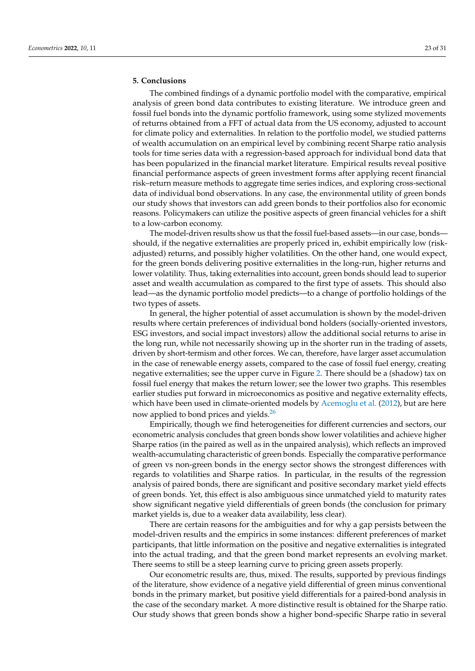# <span id="page-22-0"></span>**5. Conclusions**

The combined findings of a dynamic portfolio model with the comparative, empirical analysis of green bond data contributes to existing literature. We introduce green and fossil fuel bonds into the dynamic portfolio framework, using some stylized movements of returns obtained from a FFT of actual data from the US economy, adjusted to account for climate policy and externalities. In relation to the portfolio model, we studied patterns of wealth accumulation on an empirical level by combining recent Sharpe ratio analysis tools for time series data with a regression-based approach for individual bond data that has been popularized in the financial market literature. Empirical results reveal positive financial performance aspects of green investment forms after applying recent financial risk–return measure methods to aggregate time series indices, and exploring cross-sectional data of individual bond observations. In any case, the environmental utility of green bonds our study shows that investors can add green bonds to their portfolios also for economic reasons. Policymakers can utilize the positive aspects of green financial vehicles for a shift to a low-carbon economy.

The model-driven results show us that the fossil fuel-based assets—in our case, bonds should, if the negative externalities are properly priced in, exhibit empirically low (riskadjusted) returns, and possibly higher volatilities. On the other hand, one would expect, for the green bonds delivering positive externalities in the long-run, higher returns and lower volatility. Thus, taking externalities into account, green bonds should lead to superior asset and wealth accumulation as compared to the first type of assets. This should also lead—as the dynamic portfolio model predicts—to a change of portfolio holdings of the two types of assets.

In general, the higher potential of asset accumulation is shown by the model-driven results where certain preferences of individual bond holders (socially-oriented investors, ESG investors, and social impact investors) allow the additional social returns to arise in the long run, while not necessarily showing up in the shorter run in the trading of assets, driven by short-termism and other forces. We can, therefore, have larger asset accumulation in the case of renewable energy assets, compared to the case of fossil fuel energy, creating negative externalities; see the upper curve in Figure [2.](#page-11-0) There should be a (shadow) tax on fossil fuel energy that makes the return lower; see the lower two graphs. This resembles earlier studies put forward in microeconomics as positive and negative externality effects, which have been used in climate-oriented models by [Acemoglu et al.](#page-28-1) [\(2012\)](#page-28-1), but are here now applied to bond prices and yields.<sup>[26](#page-28-21)</sup>

<span id="page-22-1"></span>Empirically, though we find heterogeneities for different currencies and sectors, our econometric analysis concludes that green bonds show lower volatilities and achieve higher Sharpe ratios (in the paired as well as in the unpaired analysis), which reflects an improved wealth-accumulating characteristic of green bonds. Especially the comparative performance of green vs non-green bonds in the energy sector shows the strongest differences with regards to volatilities and Sharpe ratios. In particular, in the results of the regression analysis of paired bonds, there are significant and positive secondary market yield effects of green bonds. Yet, this effect is also ambiguous since unmatched yield to maturity rates show significant negative yield differentials of green bonds (the conclusion for primary market yields is, due to a weaker data availability, less clear).

There are certain reasons for the ambiguities and for why a gap persists between the model-driven results and the empirics in some instances: different preferences of market participants, that little information on the positive and negative externalities is integrated into the actual trading, and that the green bond market represents an evolving market. There seems to still be a steep learning curve to pricing green assets properly.

Our econometric results are, thus, mixed. The results, supported by previous findings of the literature, show evidence of a negative yield differential of green minus conventional bonds in the primary market, but positive yield differentials for a paired-bond analysis in the case of the secondary market. A more distinctive result is obtained for the Sharpe ratio. Our study shows that green bonds show a higher bond-specific Sharpe ratio in several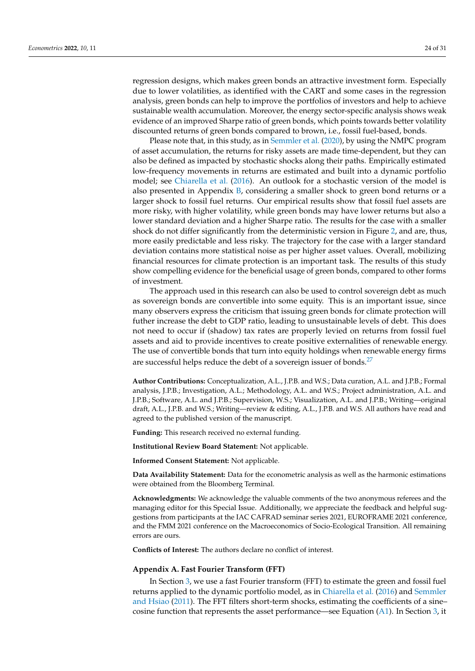regression designs, which makes green bonds an attractive investment form. Especially due to lower volatilities, as identified with the CART and some cases in the regression analysis, green bonds can help to improve the portfolios of investors and help to achieve sustainable wealth accumulation. Moreover, the energy sector-specific analysis shows weak evidence of an improved Sharpe ratio of green bonds, which points towards better volatility discounted returns of green bonds compared to brown, i.e., fossil fuel-based, bonds.

Please note that, in this study, as in [Semmler et al.](#page-30-4) [\(2020\)](#page-30-4), by using the NMPC program of asset accumulation, the returns for risky assets are made time-dependent, but they can also be defined as impacted by stochastic shocks along their paths. Empirically estimated low-frequency movements in returns are estimated and built into a dynamic portfolio model; see [Chiarella et al.](#page-29-3) [\(2016\)](#page-29-3). An outlook for a stochastic version of the model is also presented in Appendix  $B$ , considering a smaller shock to green bond returns or a larger shock to fossil fuel returns. Our empirical results show that fossil fuel assets are more risky, with higher volatility, while green bonds may have lower returns but also a lower standard deviation and a higher Sharpe ratio. The results for the case with a smaller shock do not differ significantly from the deterministic version in Figure [2,](#page-11-0) and are, thus, more easily predictable and less risky. The trajectory for the case with a larger standard deviation contains more statistical noise as per higher asset values. Overall, mobilizing financial resources for climate protection is an important task. The results of this study show compelling evidence for the beneficial usage of green bonds, compared to other forms of investment.

The approach used in this research can also be used to control sovereign debt as much as sovereign bonds are convertible into some equity. This is an important issue, since many observers express the criticism that issuing green bonds for climate protection will futher increase the debt to GDP ratio, leading to unsustainable levels of debt. This does not need to occur if (shadow) tax rates are properly levied on returns from fossil fuel assets and aid to provide incentives to create positive externalities of renewable energy. The use of convertible bonds that turn into equity holdings when renewable energy firms are successful helps reduce the debt of a sovereign issuer of bonds.<sup>[27](#page-28-22)</sup>

<span id="page-23-1"></span>**Author Contributions:** Conceptualization, A.L., J.P.B. and W.S.; Data curation, A.L. and J.P.B.; Formal analysis, J.P.B.; Investigation, A.L.; Methodology, A.L. and W.S.; Project administration, A.L. and J.P.B.; Software, A.L. and J.P.B.; Supervision, W.S.; Visualization, A.L. and J.P.B.; Writing—original draft, A.L., J.P.B. and W.S.; Writing—review & editing, A.L., J.P.B. and W.S. All authors have read and agreed to the published version of the manuscript.

**Funding:** This research received no external funding.

**Institutional Review Board Statement:** Not applicable.

**Informed Consent Statement:** Not applicable.

**Data Availability Statement:** Data for the econometric analysis as well as the harmonic estimations were obtained from the Bloomberg Terminal.

**Acknowledgments:** We acknowledge the valuable comments of the two anonymous referees and the managing editor for this Special Issue. Additionally, we appreciate the feedback and helpful suggestions from participants at the IAC CAFRAD seminar series 2021, EUROFRAME 2021 conference, and the FMM 2021 conference on the Macroeconomics of Socio-Ecological Transition. All remaining errors are ours.

**Conflicts of Interest:** The authors declare no conflict of interest.

#### <span id="page-23-0"></span>**Appendix A. Fast Fourier Transform (FFT)**

In Section [3,](#page-7-0) we use a fast Fourier transform (FFT) to estimate the green and fossil fuel returns applied to the dynamic portfolio model, as in [Chiarella et al.](#page-29-3) [\(2016\)](#page-29-3) and [Semmler](#page-30-0) [and Hsiao](#page-30-0) [\(2011\)](#page-30-0). The FFT filters short-term shocks, estimating the coefficients of a sine– cosine function that represents the asset performance—see Equation  $(A1)$ . In Section [3,](#page-7-0) it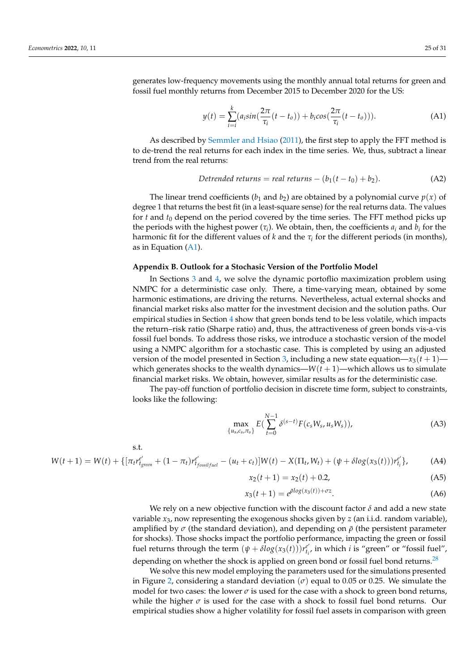generates low-frequency movements using the monthly annual total returns for green and fossil fuel monthly returns from December 2015 to December 2020 for the US:

<span id="page-24-1"></span>
$$
y(t) = \sum_{i=i}^{k} (a_i \sin(\frac{2\pi}{\tau_i}(t - t_o)) + b_i \cos(\frac{2\pi}{\tau_i}(t - t_o))).
$$
 (A1)

As described by [Semmler and Hsiao](#page-30-0) [\(2011\)](#page-30-0), the first step to apply the FFT method is to de-trend the real returns for each index in the time series. We, thus, subtract a linear trend from the real returns:

Detrended returns = real returns – 
$$
(b_1(t - t_0) + b_2)
$$
. (A2)

The linear trend coefficients ( $b_1$  and  $b_2$ ) are obtained by a polynomial curve  $p(x)$  of degree 1 that returns the best fit (in a least-square sense) for the real returns data. The values for *t* and *t*<sup>0</sup> depend on the period covered by the time series. The FFT method picks up the periods with the highest power  $(\tau_i)$ . We obtain, then, the coefficients  $a_i$  and  $b_i$  for the harmonic fit for the different values of  $k$  and the  $\tau_i$  for the different periods (in months), as in Equation [\(A1\)](#page-24-1).

### <span id="page-24-0"></span>**Appendix B. Outlook for a Stochasic Version of the Portfolio Model**

In Sections [3](#page-7-0) and [4,](#page-12-0) we solve the dynamic portoflio maximization problem using NMPC for a deterministic case only. There, a time-varying mean, obtained by some harmonic estimations, are driving the returns. Nevertheless, actual external shocks and financial market risks also matter for the investment decision and the solution paths. Our empirical studies in Section [4](#page-12-0) show that green bonds tend to be less volatile, which impacts the return–risk ratio (Sharpe ratio) and, thus, the attractiveness of green bonds vis-a-vis fossil fuel bonds. To address those risks, we introduce a stochastic version of the model using a NMPC algorithm for a stochastic case. This is completed by using an adjusted version of the model presented in Section [3,](#page-7-0) including a new state equation— $x_3(t+1)$  which generates shocks to the wealth dynamics— $W(t + 1)$ —which allows us to simulate financial market risks. We obtain, however, similar results as for the deterministic case.

The pay-off function of portfolio decision in discrete time form, subject to constraints, looks like the following:

$$
\max_{\{u_s, c_s, \pi_s\}} E\left(\sum_{t=0}^{N-1} \delta^{(s-t)} F(c_s W_s, u_s W_s)\right),\tag{A3}
$$

s.t.

$$
W(t+1) = W(t) + \{[\pi_t r_{\text{fgreen}}^{e'} + (1 - \pi_t) r_{\text{f}_\text{fossif\text{mu}}}^{e'} - (u_t + c_t)]W(t) - X(\Pi_t, W_t) + (\psi + \delta \log(x_3(t)))r_{\text{t}_i}^{e'}\},\tag{A4}
$$

$$
x_2(t+1) = x_2(t) + 0.2,
$$
 (A5)

<span id="page-24-2"></span>
$$
x_3(t+1) = e^{\bar{\rho} \log(x_3(t)) + \sigma z}.
$$
 (A6)

We rely on a new objective function with the discount factor *δ* and add a new state variable *x*3, now representing the exogenous shocks given by *z* (an i.i.d. random variable), amplified by  $\sigma$  (the standard deviation), and depending on  $\bar{\rho}$  (the persistent parameter for shocks). Those shocks impact the portfolio performance, impacting the green or fossil fuel returns through the term  $(\psi + \delta log(x_3(t)))r_{t_i}^{e'},$  in which *i* is "green" or "fossil fuel", depending on whether the shock is applied on green bond or fossil fuel bond returns.<sup>[28](#page-28-23)</sup>

We solve this new model employing the parameters used for the simulations presented in Figure [2,](#page-11-0) considering a standard deviation  $(\sigma)$  equal to 0.05 or 0.25. We simulate the model for two cases: the lower  $\sigma$  is used for the case with a shock to green bond returns, while the higher  $\sigma$  is used for the case with a shock to fossil fuel bond returns. Our empirical studies show a higher volatility for fossil fuel assets in comparison with green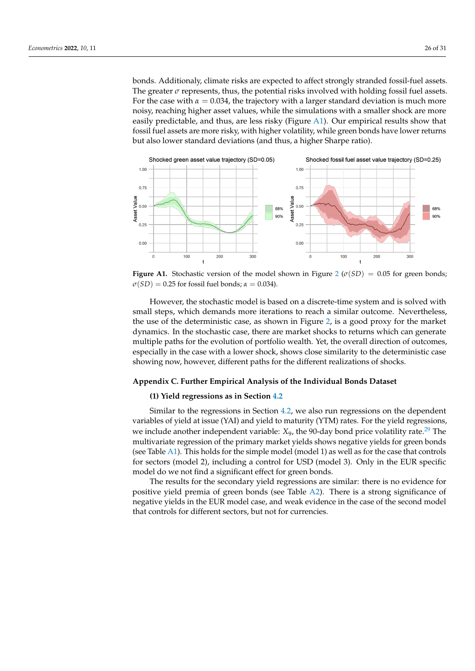bonds. Additionaly, climate risks are expected to affect strongly stranded fossil-fuel assets. The greater  $\sigma$  represents, thus, the potential risks involved with holding fossil fuel assets. For the case with  $\alpha = 0.034$ , the trajectory with a larger standard deviation is much more noisy, reaching higher asset values, while the simulations with a smaller shock are more easily predictable, and thus, are less risky (Figure [A1\)](#page-25-1). Our empirical results show that fossil fuel assets are more risky, with higher volatility, while green bonds have lower returns but also lower standard deviations (and thus, a higher Sharpe ratio).

<span id="page-25-1"></span>

**Figure A1.** Stochastic version of the model shown in Figure [2](#page-11-0) ( $\sigma(SD) = 0.05$  for green bonds;  $\sigma(SD) = 0.25$  for fossil fuel bonds;  $\alpha = 0.034$ ).

However, the stochastic model is based on a discrete-time system and is solved with small steps, which demands more iterations to reach a similar outcome. Nevertheless, the use of the deterministic case, as shown in Figure [2,](#page-11-0) is a good proxy for the market dynamics. In the stochastic case, there are market shocks to returns which can generate multiple paths for the evolution of portfolio wealth. Yet, the overall direction of outcomes, especially in the case with a lower shock, shows close similarity to the deterministic case showing now, however, different paths for the different realizations of shocks.

## <span id="page-25-0"></span>**Appendix C. Further Empirical Analysis of the Individual Bonds Dataset**

## <span id="page-25-2"></span>**(1) Yield regressions as in Section [4.2](#page-16-0)**

Similar to the regressions in Section [4.2,](#page-16-0) we also run regressions on the dependent variables of yield at issue (YAI) and yield to maturity (YTM) rates. For the yield regressions, we include another independent variable: *X*<sub>9</sub>, the 90-day bond price volatility rate.<sup>[29](#page-28-24)</sup> The multivariate regression of the primary market yields shows negative yields for green bonds (see Table [A1\)](#page-26-0). This holds for the simple model (model 1) as well as for the case that controls for sectors (model 2), including a control for USD (model 3). Only in the EUR specific model do we not find a significant effect for green bonds.

The results for the secondary yield regressions are similar: there is no evidence for positive yield premia of green bonds (see Table [A2\)](#page-26-1). There is a strong significance of negative yields in the EUR model case, and weak evidence in the case of the second model that controls for different sectors, but not for currencies.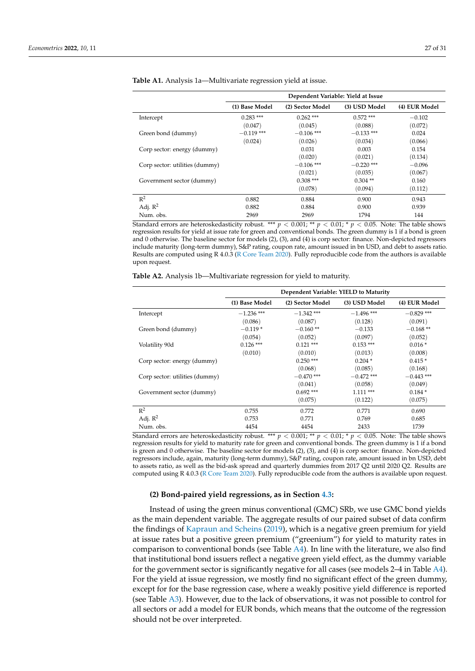|                                | Dependent Variable: Yield at Issue |                  |               |               |  |
|--------------------------------|------------------------------------|------------------|---------------|---------------|--|
|                                | (1) Base Model                     | (2) Sector Model | (3) USD Model | (4) EUR Model |  |
| Intercept                      | $0.283$ ***                        | $0.262$ ***      | $0.572$ ***   | $-0.102$      |  |
|                                | (0.047)                            | (0.045)          | (0.088)       | (0.072)       |  |
| Green bond (dummy)             | $-0.119$ ***                       | $-0.106$ ***     | $-0.133$ ***  | 0.024         |  |
|                                | (0.024)                            | (0.026)          | (0.034)       | (0.066)       |  |
| Corp sector: energy (dummy)    |                                    | 0.031            | 0.003         | 0.154         |  |
|                                |                                    | (0.020)          | (0.021)       | (0.134)       |  |
| Corp sector: utilities (dummy) |                                    | $-0.106$ ***     | $-0.220$ ***  | $-0.096$      |  |
|                                |                                    | (0.021)          | (0.035)       | (0.067)       |  |
| Government sector (dummy)      |                                    | $0.308$ ***      | $0.304**$     | 0.160         |  |
|                                |                                    | (0.078)          | (0.094)       | (0.112)       |  |
| $\mathbb{R}^2$                 | 0.882                              | 0.884            | 0.900         | 0.943         |  |
| Adj. $\mathbb{R}^2$            | 0.882                              | 0.884            | 0.900         | 0.939         |  |
| Num. obs.                      | 2969                               | 2969             | 1794          | 144           |  |

<span id="page-26-0"></span>**Table A1.** Analysis 1a—Multivariate regression yield at issue.

Standard errors are heteroskedasticity robust. \*\*\*  $p < 0.001$ ; \*\*  $p < 0.01$ ; \*  $p < 0.05$ . Note: The table shows regression results for yield at issue rate for green and conventional bonds. The green dummy is 1 if a bond is green and 0 otherwise. The baseline sector for models (2), (3), and (4) is corp sector: finance. Non-depicted regressors include maturity (long-term dummy), S&P rating, coupon rate, amount issued in bn USD, and debt to assets ratio. Results are computed using R 4.0.3 [\(R Core Team](#page-30-11) [2020\)](#page-30-11). Fully reproducible code from the authors is available upon request.

<span id="page-26-1"></span>

| Table A2. Analysis 1b-Multivariate regression for yield to maturity. |  |  |
|----------------------------------------------------------------------|--|--|
|                                                                      |  |  |

|                                | Dependent Variable: YIELD to Maturity |                  |               |               |  |
|--------------------------------|---------------------------------------|------------------|---------------|---------------|--|
|                                | (1) Base Model                        | (2) Sector Model | (3) USD Model | (4) EUR Model |  |
| Intercept                      | $-1.236$ ***                          | $-1.342$ ***     | $-1.496$ ***  | $-0.829$ ***  |  |
|                                | (0.086)                               | (0.087)          | (0.128)       | (0.091)       |  |
| Green bond (dummy)             | $-0.119*$                             | $-0.160**$       | $-0.133$      | $-0.168**$    |  |
|                                | (0.054)                               | (0.052)          | (0.097)       | (0.052)       |  |
| Volatility 90d                 | $0.126$ ***                           | $0.121$ ***      | $0.153$ ***   | $0.016*$      |  |
|                                | (0.010)                               | (0.010)          | (0.013)       | (0.008)       |  |
| Corp sector: energy (dummy)    |                                       | $0.250$ ***      | $0.204*$      | $0.415*$      |  |
|                                |                                       | (0.068)          | (0.085)       | (0.168)       |  |
| Corp sector: utilities (dummy) |                                       | $-0.470$ ***     | $-0.472$ ***  | $-0.443$ ***  |  |
|                                |                                       | (0.041)          | (0.058)       | (0.049)       |  |
| Government sector (dummy)      |                                       | $0.692$ ***      | $1.111***$    | $0.184*$      |  |
|                                |                                       | (0.075)          | (0.122)       | (0.075)       |  |
| $R^2$                          | 0.755                                 | 0.772            | 0.771         | 0.690         |  |
| Adj. $R^2$                     | 0.753                                 | 0.771            | 0.769         | 0.685         |  |
| Num. obs.                      | 4454                                  | 4454             | 2433          | 1739          |  |

Standard errors are heteroskedasticity robust. \*\*\*  $p < 0.001$ ; \*\*  $p < 0.01$ ; \*  $p < 0.05$ . Note: The table shows regression results for yield to maturity rate for green and conventional bonds. The green dummy is 1 if a bond is green and 0 otherwise. The baseline sector for models (2), (3), and (4) is corp sector: finance. Non-depicted regressors include, again, maturity (long-term dummy), S&P rating, coupon rate, amount issued in bn USD, debt to assets ratio, as well as the bid-ask spread and quarterly dummies from 2017 Q2 until 2020 Q2. Results are computed using R 4.0.3 [\(R Core Team](#page-30-11) [2020\)](#page-30-11). Fully reproducible code from the authors is available upon request.

## **(2) Bond-paired yield regressions, as in Section [4.3:](#page-17-2)**

Instead of using the green minus conventional (GMC) SRb, we use GMC bond yields as the main dependent variable. The aggregate results of our paired subset of data confirm the findings of [Kapraun and Scheins](#page-29-9) [\(2019\)](#page-29-9), which is a negative green premium for yield at issue rates but a positive green premium ("greenium") for yield to maturity rates in comparison to conventional bonds (see Table [A4\)](#page-27-8). In line with the literature, we also find that institutional bond issuers reflect a negative green yield effect, as the dummy variable for the government sector is significantly negative for all cases (see models 2–4 in Table [A4\)](#page-27-8). For the yield at issue regression, we mostly find no significant effect of the green dummy, except for for the base regression case, where a weakly positive yield difference is reported (see Table [A3\)](#page-27-9). However, due to the lack of observations, it was not possible to control for all sectors or add a model for EUR bonds, which means that the outcome of the regression should not be over interpreted.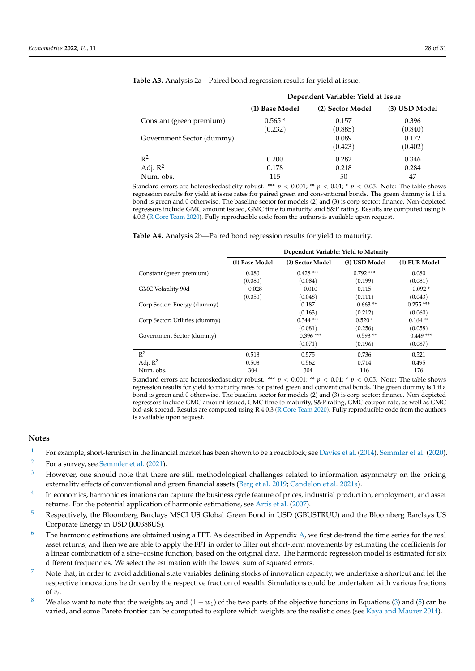|                           | Dependent Variable: Yield at Issue |                  |               |  |  |
|---------------------------|------------------------------------|------------------|---------------|--|--|
|                           | (1) Base Model                     | (2) Sector Model | (3) USD Model |  |  |
| Constant (green premium)  | $0.565*$                           | 0.157            | 0.396         |  |  |
|                           | (0.232)                            | (0.885)          | (0.840)       |  |  |
| Government Sector (dummy) |                                    | 0.089            | 0.172         |  |  |
|                           |                                    | (0.423)          | (0.402)       |  |  |
| $R^2$                     | 0.200                              | 0.282            | 0.346         |  |  |
| Adj. $R^2$                | 0.178                              | 0.218            | 0.284         |  |  |
| Num. obs.                 | 115                                | 50               | 47            |  |  |

<span id="page-27-9"></span>**Table A3.** Analysis 2a—Paired bond regression results for yield at issue.

Standard errors are heteroskedasticity robust. \*\*\*  $p < 0.001$ ; \*\*  $p < 0.01$ ; \*  $p < 0.05$ . Note: The table shows regression results for yield at issue rates for paired green and conventional bonds. The green dummy is 1 if a bond is green and 0 otherwise. The baseline sector for models (2) and (3) is corp sector: finance. Non-depicted regressors include GMC amount issued, GMC time to maturity, and S&P rating. Results are computed using R 4.0.3 [\(R Core Team](#page-30-11) [2020\)](#page-30-11). Fully reproducible code from the authors is available upon request.

<span id="page-27-8"></span>

|                                | Dependent Variable: Yield to Maturity |                  |               |               |
|--------------------------------|---------------------------------------|------------------|---------------|---------------|
|                                | (1) Base Model                        | (2) Sector Model | (3) USD Model | (4) EUR Model |
| Constant (green premium)       | 0.080                                 | $0.428$ ***      | $0.792$ ***   | 0.080         |
|                                | (0.080)                               | (0.084)          | (0.199)       | (0.081)       |
| GMC Volatility 90d             | $-0.028$                              | $-0.010$         | 0.115         | $-0.092*$     |
|                                | (0.050)                               | (0.048)          | (0.111)       | (0.043)       |
| Corp Sector: Energy (dummy)    |                                       | 0.187            | $-0.663**$    | $0.255$ ***   |
|                                |                                       | (0.163)          | (0.212)       | (0.060)       |
| Corp Sector: Utilities (dummy) |                                       | $0.344$ ***      | $0.520*$      | $0.164$ **    |
|                                |                                       | (0.081)          | (0.256)       | (0.058)       |
| Government Sector (dummy)      |                                       | $-0.396$ ***     | $-0.593**$    | $-0.449$ ***  |
|                                |                                       | (0.071)          | (0.196)       | (0.087)       |
| $\mathbb{R}^2$                 | 0.518                                 | 0.575            | 0.736         | 0.521         |
| Adj. $R^2$                     | 0.508                                 | 0.562            | 0.714         | 0.495         |
| Num. obs.                      | 304                                   | 304              | 116           | 176           |

Standard errors are heteroskedasticity robust. \*\*\*  $p < 0.001$ ; \*\*  $p < 0.01$ ; \*  $p < 0.05$ . Note: The table shows regression results for yield to maturity rates for paired green and conventional bonds. The green dummy is 1 if a bond is green and 0 otherwise. The baseline sector for models (2) and (3) is corp sector: finance. Non-depicted regressors include GMC amount issued, GMC time to maturity, S&P rating, GMC coupon rate, as well as GMC bid-ask spread. Results are computed using R 4.0.3 [\(R Core Team](#page-30-11) [2020\)](#page-30-11). Fully reproducible code from the authors is available upon request.

# **Notes**

- <span id="page-27-0"></span><sup>[1](#page-0-0)</sup> For example, short-termism in the financial market has been shown to be a roadblock; see [Davies et al.](#page-29-8) [\(2014\)](#page-29-8), [Semmler et al.](#page-30-4) [\(2020\)](#page-30-4).
- <span id="page-27-1"></span>[2](#page-1-0) For a survey, see [Semmler et al.](#page-30-9) [\(2021\)](#page-30-9).
- <span id="page-27-2"></span><sup>[3](#page-2-1)</sup> However, one should note that there are still methodological challenges related to information asymmetry on the pricing externality effects of conventional and green financial assets [\(Berg et al.](#page-29-29) [2019;](#page-29-29) [Candelon et al.](#page-29-30) [2021a\)](#page-29-30).
- <span id="page-27-3"></span>[4](#page-7-5) In economics, harmonic estimations can capture the business cycle feature of prices, industrial production, employment, and asset returns. For the potential application of harmonic estimations, see [Artis et al.](#page-28-25) [\(2007\)](#page-28-25).
- <span id="page-27-4"></span><sup>[5](#page-7-6)</sup> Respectively, the Bloomberg Barclays MSCI US Global Green Bond in USD (GBUSTRUU) and the Bloomberg Barclays US Corporate Energy in USD (I00388US).
- <span id="page-27-5"></span> $6$  The harmonic estimations are obtained using a FFT. As described in Appendix [A,](#page-23-0) we first de-trend the time series for the real asset returns, and then we are able to apply the FFT in order to filter out short-term movements by estimating the coefficients for a linear combination of a sine–cosine function, based on the original data. The harmonic regression model is estimated for six different frequencies. We select the estimation with the lowest sum of squared errors.
- <span id="page-27-6"></span>Note that, in order to avoid additional state variables defining stocks of innovation capacity, we undertake a shortcut and let the respective innovations be driven by the respective fraction of wealth. Simulations could be undertaken with various fractions of  $\nu_t$ .
- <span id="page-27-7"></span><sup>[8](#page-9-1)</sup> We also want to note that the weights  $w_1$  and  $(1 - w_1)$  of the two parts of the objective functions in Equations [\(3\)](#page-7-4) and [\(5\)](#page-8-2) can be varied, and some Pareto frontier can be computed to explore which weights are the realistic ones (see [Kaya and Maurer](#page-29-31) [2014\)](#page-29-31).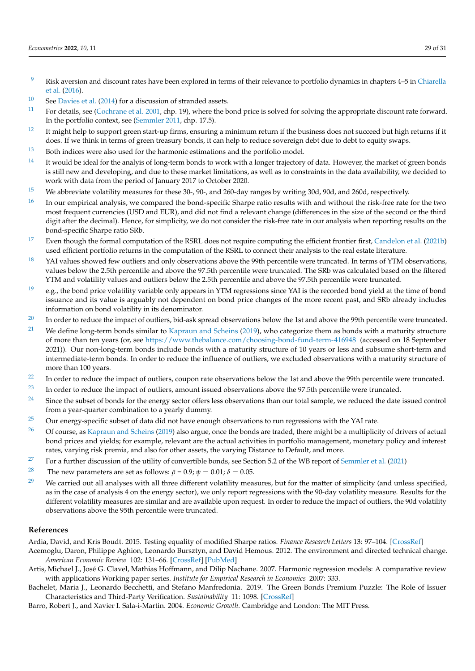- <span id="page-28-3"></span><sup>[9](#page-9-2)</sup> Risk aversion and discount rates have been explored in terms of their relevance to portfolio dynamics in chapters 4–5 in [Chiarella](#page-29-3) [et al.](#page-29-3) [\(2016\)](#page-29-3).
- <span id="page-28-4"></span> $10$  See [Davies et al.](#page-29-8) [\(2014\)](#page-29-8) for a discussion of stranded assets.
- <span id="page-28-5"></span><sup>[11](#page-10-1)</sup> For details, see [\(Cochrane et al.](#page-29-32) [2001,](#page-29-32) chp. 19), where the bond price is solved for solving the appropriate discount rate forward. In the portfolio context, see [\(Semmler](#page-30-3) [2011,](#page-30-3) chp. 17.5).
- <span id="page-28-6"></span> $12$  It might help to support green start-up firms, ensuring a minimum return if the business does not succeed but high returns if it does. If we think in terms of green treasury bonds, it can help to reduce sovereign debt due to debt to equity swaps.
- <span id="page-28-7"></span><sup>[13](#page-12-1)</sup> Both indices were also used for the harmonic estimations and the portfolio model.
- <span id="page-28-8"></span> $14$  It would be ideal for the analyis of long-term bonds to work with a longer trajectory of data. However, the market of green bonds is still new and developing, and due to these market limitations, as well as to constraints in the data availability, we decided to work with data from the period of January 2017 to October 2020.
- <span id="page-28-10"></span><sup>[15](#page-14-1)</sup> We abbreviate volatility measures for these 30-, 90-, and 260-day ranges by writing 30d, 90d, and 260d, respectively.
- <span id="page-28-11"></span> $16$  In our empirical analysis, we compared the bond-specific Sharpe ratio results with and without the risk-free rate for the two most frequent currencies (USD and EUR), and did not find a relevant change (differences in the size of the second or the third digit after the decimal). Hence, for simplicity, we do not consider the risk-free rate in our analysis when reporting results on the bond-specific Sharpe ratio SRb.
- <span id="page-28-12"></span> $17$  Even though the formal computation of the RSRL does not require computing the efficient frontier first, [Candelon et al.](#page-29-26) [\(2021b\)](#page-29-26) used efficient portfolio returns in the computation of the RSRL to connect their analysis to the real estate literature.
- <span id="page-28-13"></span><sup>[18](#page-16-5)</sup> YAI values showed few outliers and only observations above the 99th percentile were truncated. In terms of YTM observations, values below the 2.5th percentile and above the 97.5th percentile were truncated. The SRb was calculated based on the filtered YTM and volatility values and outliers below the 2.5th percentile and above the 97.5th percentile were truncated.
- <span id="page-28-14"></span><sup>[19](#page-16-6)</sup> e.g., the bond price volatility variable only appears in YTM regressions since YAI is the recorded bond yield at the time of bond issuance and its value is arguably not dependent on bond price changes of the more recent past, and SRb already includes information on bond volatility in its denominator.
- <span id="page-28-15"></span> $20$  In order to reduce the impact of outliers, bid-ask spread observations below the 1st and above the 99th percentile were truncated.
- <span id="page-28-16"></span><sup>[21](#page-16-8)</sup> We define long-term bonds similar to [Kapraun and Scheins](#page-29-9) [\(2019\)](#page-29-9), who categorize them as bonds with a maturity structure of more than ten years (or, see <https://www.thebalance.com/choosing-bond-fund-term-416948> (accessed on 18 September 2021)). Our non-long-term bonds include bonds with a maturity structure of 10 years or less and subsume short-term and intermediate-term bonds. In order to reduce the influence of outliers, we excluded observations with a maturity structure of more than 100 years.
- <span id="page-28-17"></span> $22$  In order to reduce the impact of outliers, coupon rate observations below the 1st and above the 99th percentile were truncated.
- <span id="page-28-18"></span> $23$  In order to reduce the impact of outliers, amount issued observations above the 97.5th percentile were truncated.
- <span id="page-28-19"></span> $24$  Since the subset of bonds for the energy sector offers less observations than our total sample, we reduced the date issued control from a year-quarter combination to a yearly dummy.
- <span id="page-28-20"></span><sup>[25](#page-20-4)</sup> Our energy-specific subset of data did not have enough observations to run regressions with the YAI rate.
- <span id="page-28-21"></span><sup>[26](#page-22-1)</sup> Of course, as [Kapraun and Scheins](#page-29-9) [\(2019\)](#page-29-9) also argue, once the bonds are traded, there might be a multiplicity of drivers of actual bond prices and yields; for example, relevant are the actual activities in portfolio management, monetary policy and interest rates, varying risk premia, and also for other assets, the varying Distance to Default, and more.
- <span id="page-28-22"></span><sup>[27](#page-23-1)</sup> For a further discussion of the utility of convertible bonds, see Section 5.2 of the WB report of [Semmler et al.](#page-30-9) [\(2021\)](#page-30-9)
- <span id="page-28-23"></span><sup>[28](#page-24-2)</sup> The new parameters are set as follows:  $\bar{\rho}$  = 0.9;  $\psi$  = 0.01;  $\delta$  = 0.05.
- <span id="page-28-24"></span><sup>[29](#page-25-2)</sup> We carried out all analyses with all three different volatility measures, but for the matter of simplicity (and unless specified, as in the case of analysis 4 on the energy sector), we only report regressions with the 90-day volatility measure. Results for the different volatility measures are similar and are available upon request. In order to reduce the impact of outliers, the 90d volatility observations above the 95th percentile were truncated.

#### **References**

<span id="page-28-9"></span>Ardia, David, and Kris Boudt. 2015. Testing equality of modified Sharpe ratios. *Finance Research Letters* 13: 97–104. [\[CrossRef\]](http://doi.org/10.1016/j.frl.2015.02.008)

- <span id="page-28-1"></span>Acemoglu, Daron, Philippe Aghion, Leonardo Bursztyn, and David Hemous. 2012. The environment and directed technical change. *American Economic Review* 102: 131–66. [\[CrossRef\]](http://dx.doi.org/10.1257/aer.102.1.131) [\[PubMed\]](http://www.ncbi.nlm.nih.gov/pubmed/26719595)
- <span id="page-28-25"></span>Artis, Michael J., José G. Clavel, Mathias Hoffmann, and Dilip Nachane. 2007. Harmonic regression models: A comparative review with applications Working paper series. *Institute for Empirical Research in Economics* 2007: 333.
- <span id="page-28-2"></span>Bachelet, Maria J., Leonardo Becchetti, and Stefano Manfredonia. 2019. The Green Bonds Premium Puzzle: The Role of Issuer Characteristics and Third-Party Verification. *Sustainability* 11: 1098. [\[CrossRef\]](http://dx.doi.org/10.3390/su11041098)

<span id="page-28-0"></span>Barro, Robert J., and Xavier I. Sala-i-Martin. 2004. *Economic Growth*. Cambridge and London: The MIT Press.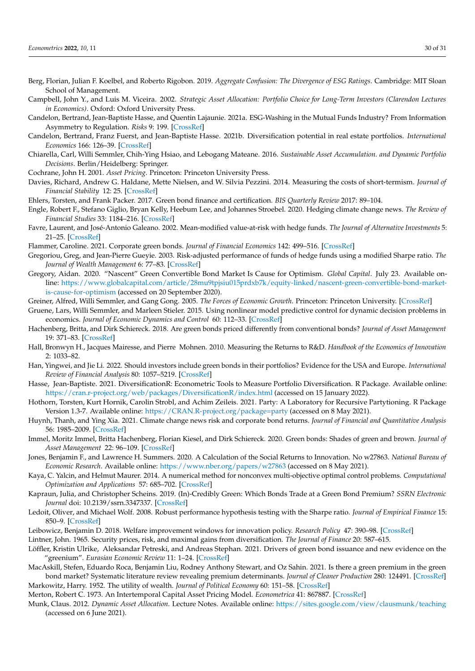- <span id="page-29-29"></span>Berg, Florian, Julian F. Koelbel, and Roberto Rigobon. 2019. *Aggregate Confusion: The Divergence of ESG Ratings*. Cambridge: MIT Sloan School of Management.
- <span id="page-29-6"></span>Campbell, John Y., and Luis M. Viceira. 2002. *Strategic Asset Allocation: Portfolio Choice for Long-Term Investors (Clarendon Lectures in Economics)*. Oxford: Oxford University Press.
- <span id="page-29-30"></span>Candelon, Bertrand, Jean-Baptiste Hasse, and Quentin Lajaunie. 2021a. ESG-Washing in the Mutual Funds Industry? From Information Asymmetry to Regulation. *Risks* 9: 199. [\[CrossRef\]](http://dx.doi.org/10.3390/risks9110199)
- <span id="page-29-26"></span>Candelon, Bertrand, Franz Fuerst, and Jean-Baptiste Hasse. 2021b. Diversification potential in real estate portfolios. *International Economics* 166: 126–39. [\[CrossRef\]](http://dx.doi.org/10.1016/j.inteco.2021.04.001)
- <span id="page-29-3"></span>Chiarella, Carl, Willi Semmler, Chih-Ying Hsiao, and Lebogang Mateane. 2016. *Sustainable Asset Accumulation. and Dynamic Portfolio Decisions*. Berlin/Heidelberg: Springer.
- <span id="page-29-32"></span>Cochrane, John H. 2001. *Asset Pricing*. Princeton: Princeton University Press.
- <span id="page-29-8"></span>Davies, Richard, Andrew G. Haldane, Mette Nielsen, and W. Silvia Pezzini. 2014. Measuring the costs of short-termism. *Journal of Financial Stability* 12: 25. [\[CrossRef\]](http://dx.doi.org/10.1016/j.jfs.2013.07.002)
- <span id="page-29-11"></span>Ehlers, Torsten, and Frank Packer. 2017. Green bond finance and certification. *BIS Quarterly Review* 2017: 89–104.
- <span id="page-29-1"></span>Engle, Robert F., Stefano Giglio, Bryan Kelly, Heebum Lee, and Johannes Stroebel. 2020. Hedging climate change news. *The Review of Financial Studies* 33: 1184–216. [\[CrossRef\]](http://dx.doi.org/10.1093/rfs/hhz072)
- <span id="page-29-23"></span>Favre, Laurent, and José-Antonio Galeano. 2002. Mean-modified value-at-risk with hedge funds. *The Journal of Alternative Investments* 5: 21–25. [\[CrossRef\]](http://dx.doi.org/10.3905/jai.2002.319052)
- <span id="page-29-16"></span>Flammer, Caroline. 2021. Corporate green bonds. *Journal of Financial Economics* 142: 499–516. [\[CrossRef\]](http://dx.doi.org/10.1016/j.jfineco.2021.01.010)
- <span id="page-29-24"></span>Gregoriou, Greg, and Jean-Pierre Gueyie. 2003. Risk-adjusted performance of funds of hedge funds using a modified Sharpe ratio. *The Journal of Wealth Management* 6: 77–83. [\[CrossRef\]](http://dx.doi.org/10.3905/jwm.2003.442378)
- <span id="page-29-10"></span>Gregory, Aidan. 2020. "Nascent" Green Convertible Bond Market Is Cause for Optimism. *Global Capital*. July 23. Available online: [https://www.globalcapital.com/article/28mu9tpjsiu015prdxb7k/equity-linked/nascent-green-convertible-bond-market](https://www.globalcapital.com/article/28mu9tpjsiu015prdxb7k/equity-linked/nascent-green-convertible-bond-market-is-cause-for-optimism)[is-cause-for-optimism](https://www.globalcapital.com/article/28mu9tpjsiu015prdxb7k/equity-linked/nascent-green-convertible-bond-market-is-cause-for-optimism) (accessed on 20 September 2020).
- <span id="page-29-0"></span>Greiner, Alfred, Willi Semmler, and Gang Gong. 2005. *The Forces of Economic Growth*. Princeton: Princeton University. [\[CrossRef\]](http://dx.doi.org/10.1515/9781400880157)
- <span id="page-29-22"></span>Gruene, Lars, Willi Semmler, and Marleen Stieler. 2015. Using nonlinear model predictive control for dynamic decision problems in economics. *Journal of Economic Dynamics and Control* 60: 112–33. [\[CrossRef\]](http://dx.doi.org/10.1016/j.jedc.2015.08.010)
- <span id="page-29-14"></span>Hachenberg, Britta, and Dirk Schiereck. 2018. Are green bonds priced differently from conventional bonds? *Journal of Asset Management* 19: 371–83. [\[CrossRef\]](http://dx.doi.org/10.1057/s41260-018-0088-5)
- <span id="page-29-19"></span>Hall, Bronwyn H., Jacques Mairesse, and Pierre Mohnen. 2010. Measuring the Returns to R&D. *Handbook of the Economics of Innovation* 2: 1033–82.
- <span id="page-29-18"></span>Han, Yingwei, and Jie Li. 2022. Should investors include green bonds in their portfolios? Evidence for the USA and Europe. *International Review of Financial Analysis* 80: 1057–5219. [\[CrossRef\]](http://dx.doi.org/10.1016/j.irfa.2021.101998)
- <span id="page-29-27"></span>Hasse, Jean-Baptiste. 2021. DiversificationR: Econometric Tools to Measure Portfolio Diversification. R Package. Available online: <https://cran.r-project.org/web/packages/DiversificationR/index.html> (accessed on 15 January 2022).
- <span id="page-29-28"></span>Hothorn, Torsten, Kurt Hornik, Carolin Strobl, and Achim Zeileis. 2021. Party: A Laboratory for Recursive Partytioning. R Package Version 1.3-7. Available online: <https://CRAN.R-project.org/package=party> (accessed on 8 May 2021).
- <span id="page-29-17"></span>Huynh, Thanh, and Ying Xia. 2021. Climate change news risk and corporate bond returns. *Journal of Financial and Quantitative Analysis* 56: 1985–2009. [\[CrossRef\]](http://dx.doi.org/10.1017/S0022109020000757)
- <span id="page-29-12"></span>Immel, Moritz Immel, Britta Hachenberg, Florian Kiesel, and Dirk Schiereck. 2020. Green bonds: Shades of green and brown. *Journal of Asset Management* 22: 96–109. [\[CrossRef\]](http://dx.doi.org/10.1057/s41260-020-00192-z)
- <span id="page-29-21"></span>Jones, Benjamin F., and Lawrence H. Summers. 2020. A Calculation of the Social Returns to Innovation. No w27863. *National Bureau of Economic Research*. Available online: <https://www.nber.org/papers/w27863> (accessed on 8 May 2021).
- <span id="page-29-31"></span>Kaya, C. Yalcin, and Helmut Maurer. 2014. A numerical method for nonconvex multi-objective optimal control problems. *Computational Optimization and Applications* 57: 685–702. [\[CrossRef\]](http://dx.doi.org/10.1007/s10589-013-9603-2)
- <span id="page-29-9"></span>Kapraun, Julia, and Christopher Scheins. 2019. (In)-Credibly Green: Which Bonds Trade at a Green Bond Premium? *SSRN Electronic Journal* doi: 10.2139/ssrn.3347337. [\[CrossRef\]](http://dx.doi.org/10.2139/ssrn.3347337)
- <span id="page-29-25"></span>Ledoit, Oliver, and Michael Wolf. 2008. Robust performance hypothesis testing with the Sharpe ratio. *Journal of Empirical Finance* 15: 850–9. [\[CrossRef\]](http://dx.doi.org/10.1016/j.jempfin.2008.03.002)
- <span id="page-29-20"></span><span id="page-29-5"></span>Leibowicz, Benjamin D. 2018. Welfare improvement windows for innovation policy. *Research Policy* 47: 390–98. [\[CrossRef\]](http://dx.doi.org/10.1016/j.respol.2017.12.009)
- Lintner, John. 1965. Security prices, risk, and maximal gains from diversification. *The Journal of Finance* 20: 587–615.
- <span id="page-29-13"></span>Löffler, Kristin Ulrike, Aleksandar Petreski, and Andreas Stephan. 2021. Drivers of green bond issuance and new evidence on the "greenium". *Eurasian Economic Review* 11: 1–24. [\[CrossRef\]](http://dx.doi.org/10.1007/s40822-020-00165-y)
- <span id="page-29-15"></span>MacAskill, Stefen, Eduardo Roca, Benjamin Liu, Rodney Anthony Stewart, and Oz Sahin. 2021. Is there a green premium in the green bond market? Systematic literature review revealing premium determinants. *Journal of Cleaner Production* 280: 124491. [\[CrossRef\]](http://dx.doi.org/10.1016/j.jclepro.2020.124491) Markowitz, Harry. 1952. The utility of wealth. *Journal of Political Economy* 60: 151–58. [\[CrossRef\]](http://dx.doi.org/10.1086/257177)
- <span id="page-29-4"></span><span id="page-29-2"></span>Merton, Robert C. 1973. An Intertemporal Capital Asset Pricing Model. *Econometrica* 41: 867887. [\[CrossRef\]](http://dx.doi.org/10.2307/1913811)
- <span id="page-29-7"></span>Munk, Claus. 2012. *Dynamic Asset Allocation.* Lecture Notes. Available online: <https://sites.google.com/view/clausmunk/teaching> (accessed on 6 June 2021).